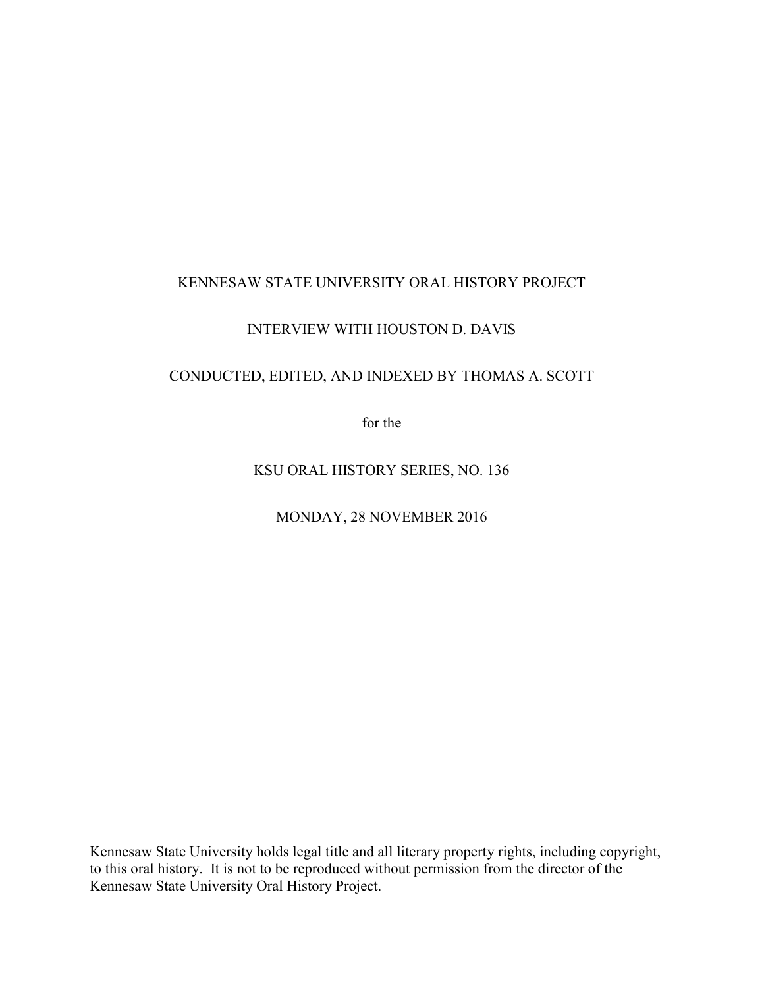## KENNESAW STATE UNIVERSITY ORAL HISTORY PROJECT

## INTERVIEW WITH HOUSTON D. DAVIS

## CONDUCTED, EDITED, AND INDEXED BY THOMAS A. SCOTT

for the

KSU ORAL HISTORY SERIES, NO. 136

MONDAY, 28 NOVEMBER 2016

Kennesaw State University holds legal title and all literary property rights, including copyright, to this oral history. It is not to be reproduced without permission from the director of the Kennesaw State University Oral History Project.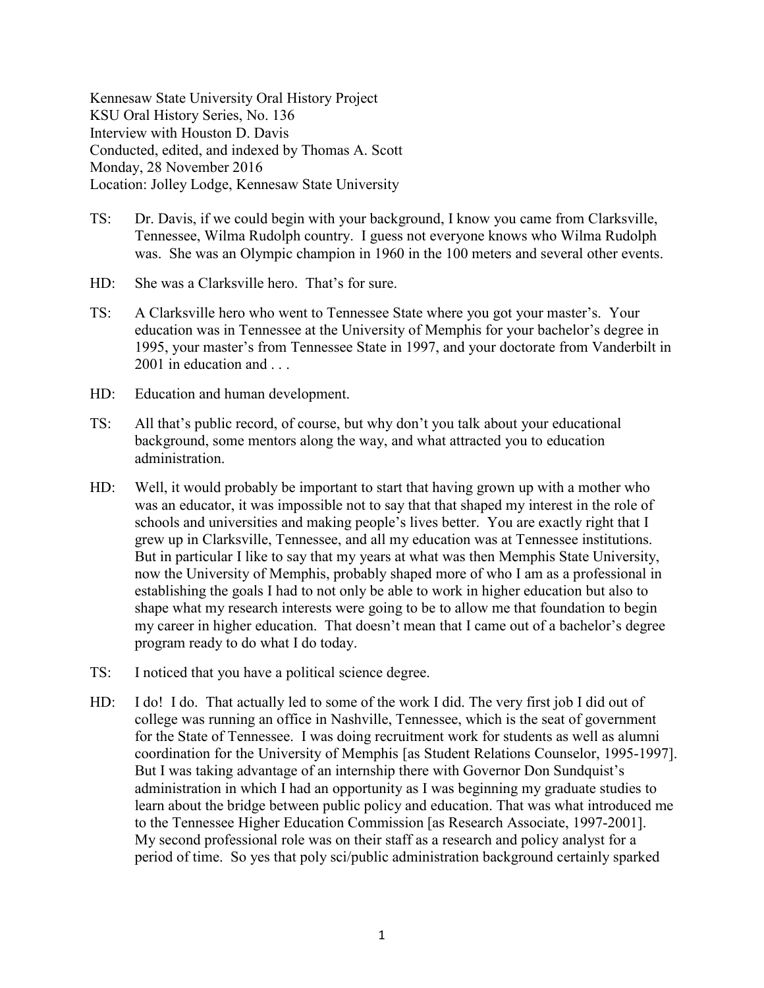Kennesaw State University Oral History Project KSU Oral History Series, No. 136 Interview with Houston D. Davis Conducted, edited, and indexed by Thomas A. Scott Monday, 28 November 2016 Location: Jolley Lodge, Kennesaw State University

- TS: Dr. Davis, if we could begin with your background, I know you came from Clarksville, Tennessee, Wilma Rudolph country. I guess not everyone knows who Wilma Rudolph was. She was an Olympic champion in 1960 in the 100 meters and several other events.
- HD: She was a Clarksville hero. That's for sure.
- TS: A Clarksville hero who went to Tennessee State where you got your master's. Your education was in Tennessee at the University of Memphis for your bachelor's degree in 1995, your master's from Tennessee State in 1997, and your doctorate from Vanderbilt in 2001 in education and . . .
- HD: Education and human development.
- TS: All that's public record, of course, but why don't you talk about your educational background, some mentors along the way, and what attracted you to education administration.
- HD: Well, it would probably be important to start that having grown up with a mother who was an educator, it was impossible not to say that that shaped my interest in the role of schools and universities and making people's lives better. You are exactly right that I grew up in Clarksville, Tennessee, and all my education was at Tennessee institutions. But in particular I like to say that my years at what was then Memphis State University, now the University of Memphis, probably shaped more of who I am as a professional in establishing the goals I had to not only be able to work in higher education but also to shape what my research interests were going to be to allow me that foundation to begin my career in higher education. That doesn't mean that I came out of a bachelor's degree program ready to do what I do today.
- TS: I noticed that you have a political science degree.
- HD: I do! I do. That actually led to some of the work I did. The very first job I did out of college was running an office in Nashville, Tennessee, which is the seat of government for the State of Tennessee. I was doing recruitment work for students as well as alumni coordination for the University of Memphis [as Student Relations Counselor, 1995-1997]. But I was taking advantage of an internship there with Governor Don Sundquist's administration in which I had an opportunity as I was beginning my graduate studies to learn about the bridge between public policy and education. That was what introduced me to the Tennessee Higher Education Commission [as Research Associate, 1997-2001]. My second professional role was on their staff as a research and policy analyst for a period of time. So yes that poly sci/public administration background certainly sparked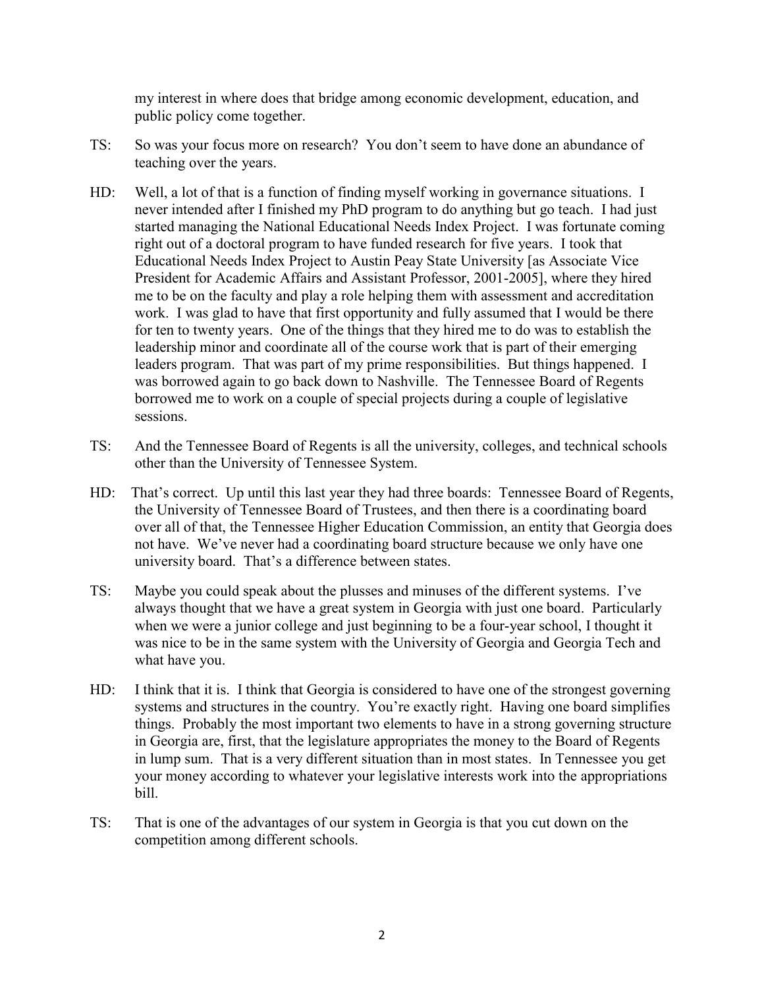my interest in where does that bridge among economic development, education, and public policy come together.

- TS: So was your focus more on research? You don't seem to have done an abundance of teaching over the years.
- HD: Well, a lot of that is a function of finding myself working in governance situations. I never intended after I finished my PhD program to do anything but go teach. I had just started managing the National Educational Needs Index Project. I was fortunate coming right out of a doctoral program to have funded research for five years. I took that Educational Needs Index Project to Austin Peay State University [as Associate Vice President for Academic Affairs and Assistant Professor, 2001-2005], where they hired me to be on the faculty and play a role helping them with assessment and accreditation work. I was glad to have that first opportunity and fully assumed that I would be there for ten to twenty years. One of the things that they hired me to do was to establish the leadership minor and coordinate all of the course work that is part of their emerging leaders program. That was part of my prime responsibilities. But things happened. I was borrowed again to go back down to Nashville. The Tennessee Board of Regents borrowed me to work on a couple of special projects during a couple of legislative sessions.
- TS: And the Tennessee Board of Regents is all the university, colleges, and technical schools other than the University of Tennessee System.
- HD: That's correct. Up until this last year they had three boards: Tennessee Board of Regents, the University of Tennessee Board of Trustees, and then there is a coordinating board over all of that, the Tennessee Higher Education Commission, an entity that Georgia does not have. We've never had a coordinating board structure because we only have one university board. That's a difference between states.
- TS: Maybe you could speak about the plusses and minuses of the different systems. I've always thought that we have a great system in Georgia with just one board. Particularly when we were a junior college and just beginning to be a four-year school. I thought it was nice to be in the same system with the University of Georgia and Georgia Tech and what have you.
- HD: I think that it is. I think that Georgia is considered to have one of the strongest governing systems and structures in the country. You're exactly right. Having one board simplifies things. Probably the most important two elements to have in a strong governing structure in Georgia are, first, that the legislature appropriates the money to the Board of Regents in lump sum. That is a very different situation than in most states. In Tennessee you get your money according to whatever your legislative interests work into the appropriations bill.
- TS: That is one of the advantages of our system in Georgia is that you cut down on the competition among different schools.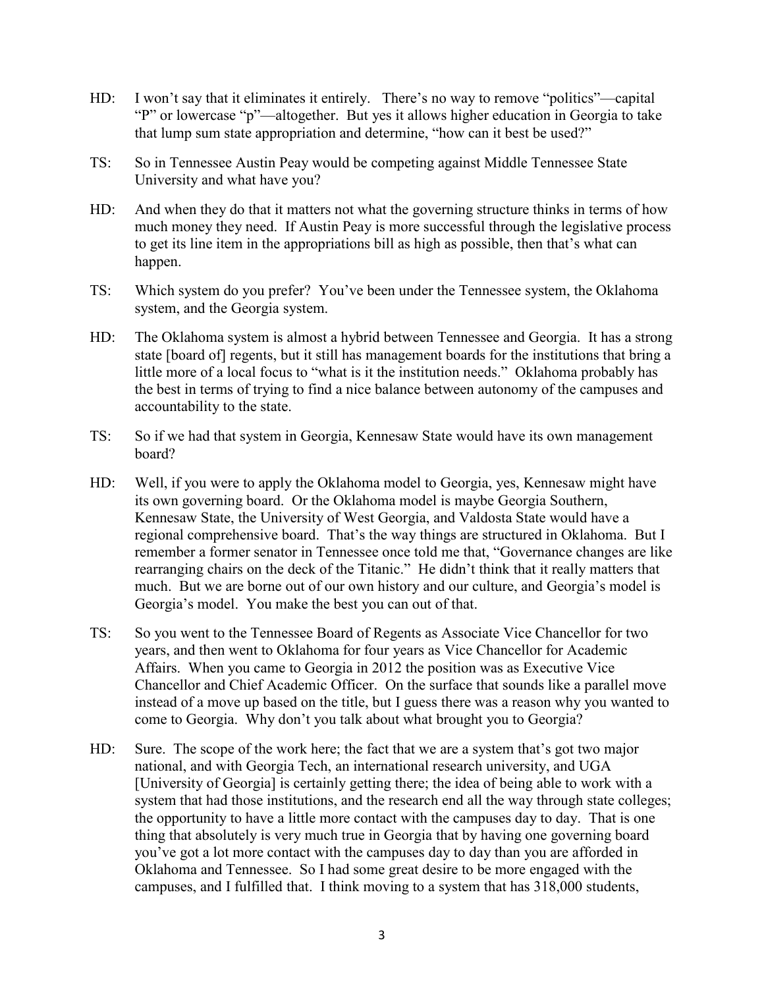- HD: I won't say that it eliminates it entirely. There's no way to remove "politics"—capital "P" or lowercase "p"—altogether. But yes it allows higher education in Georgia to take that lump sum state appropriation and determine, "how can it best be used?"
- TS: So in Tennessee Austin Peay would be competing against Middle Tennessee State University and what have you?
- HD: And when they do that it matters not what the governing structure thinks in terms of how much money they need. If Austin Peay is more successful through the legislative process to get its line item in the appropriations bill as high as possible, then that's what can happen.
- TS: Which system do you prefer? You've been under the Tennessee system, the Oklahoma system, and the Georgia system.
- HD: The Oklahoma system is almost a hybrid between Tennessee and Georgia. It has a strong state [board of] regents, but it still has management boards for the institutions that bring a little more of a local focus to "what is it the institution needs." Oklahoma probably has the best in terms of trying to find a nice balance between autonomy of the campuses and accountability to the state.
- TS: So if we had that system in Georgia, Kennesaw State would have its own management board?
- HD: Well, if you were to apply the Oklahoma model to Georgia, yes, Kennesaw might have its own governing board. Or the Oklahoma model is maybe Georgia Southern, Kennesaw State, the University of West Georgia, and Valdosta State would have a regional comprehensive board. That's the way things are structured in Oklahoma. But I remember a former senator in Tennessee once told me that, "Governance changes are like rearranging chairs on the deck of the Titanic." He didn't think that it really matters that much. But we are borne out of our own history and our culture, and Georgia's model is Georgia's model. You make the best you can out of that.
- TS: So you went to the Tennessee Board of Regents as Associate Vice Chancellor for two years, and then went to Oklahoma for four years as Vice Chancellor for Academic Affairs. When you came to Georgia in 2012 the position was as Executive Vice Chancellor and Chief Academic Officer. On the surface that sounds like a parallel move instead of a move up based on the title, but I guess there was a reason why you wanted to come to Georgia. Why don't you talk about what brought you to Georgia?
- HD: Sure. The scope of the work here; the fact that we are a system that's got two major national, and with Georgia Tech, an international research university, and UGA [University of Georgia] is certainly getting there; the idea of being able to work with a system that had those institutions, and the research end all the way through state colleges; the opportunity to have a little more contact with the campuses day to day. That is one thing that absolutely is very much true in Georgia that by having one governing board you've got a lot more contact with the campuses day to day than you are afforded in Oklahoma and Tennessee. So I had some great desire to be more engaged with the campuses, and I fulfilled that. I think moving to a system that has 318,000 students,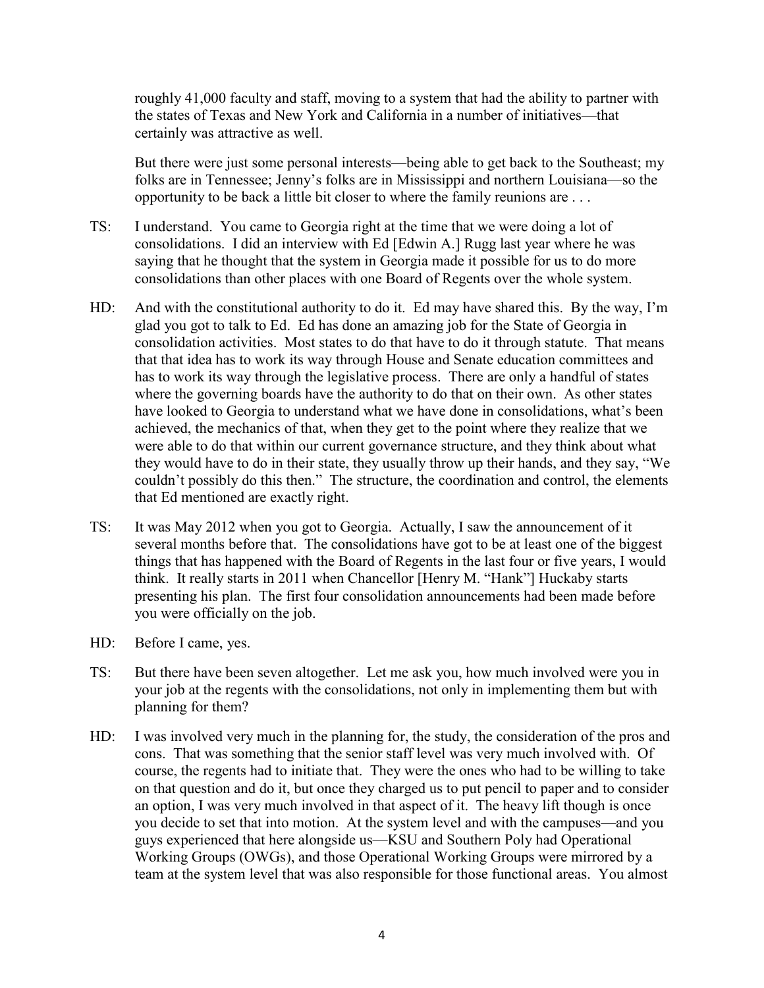roughly 41,000 faculty and staff, moving to a system that had the ability to partner with the states of Texas and New York and California in a number of initiatives—that certainly was attractive as well.

But there were just some personal interests—being able to get back to the Southeast; my folks are in Tennessee; Jenny's folks are in Mississippi and northern Louisiana—so the opportunity to be back a little bit closer to where the family reunions are . . .

- TS: I understand. You came to Georgia right at the time that we were doing a lot of consolidations. I did an interview with Ed [Edwin A.] Rugg last year where he was saying that he thought that the system in Georgia made it possible for us to do more consolidations than other places with one Board of Regents over the whole system.
- HD: And with the constitutional authority to do it. Ed may have shared this. By the way, I'm glad you got to talk to Ed. Ed has done an amazing job for the State of Georgia in consolidation activities. Most states to do that have to do it through statute. That means that that idea has to work its way through House and Senate education committees and has to work its way through the legislative process. There are only a handful of states where the governing boards have the authority to do that on their own. As other states have looked to Georgia to understand what we have done in consolidations, what's been achieved, the mechanics of that, when they get to the point where they realize that we were able to do that within our current governance structure, and they think about what they would have to do in their state, they usually throw up their hands, and they say, "We couldn't possibly do this then." The structure, the coordination and control, the elements that Ed mentioned are exactly right.
- TS: It was May 2012 when you got to Georgia. Actually, I saw the announcement of it several months before that. The consolidations have got to be at least one of the biggest things that has happened with the Board of Regents in the last four or five years, I would think. It really starts in 2011 when Chancellor [Henry M. "Hank"] Huckaby starts presenting his plan. The first four consolidation announcements had been made before you were officially on the job.
- HD: Before I came, yes.
- TS: But there have been seven altogether. Let me ask you, how much involved were you in your job at the regents with the consolidations, not only in implementing them but with planning for them?
- HD: I was involved very much in the planning for, the study, the consideration of the pros and cons. That was something that the senior staff level was very much involved with. Of course, the regents had to initiate that. They were the ones who had to be willing to take on that question and do it, but once they charged us to put pencil to paper and to consider an option, I was very much involved in that aspect of it. The heavy lift though is once you decide to set that into motion. At the system level and with the campuses—and you guys experienced that here alongside us—KSU and Southern Poly had Operational Working Groups (OWGs), and those Operational Working Groups were mirrored by a team at the system level that was also responsible for those functional areas. You almost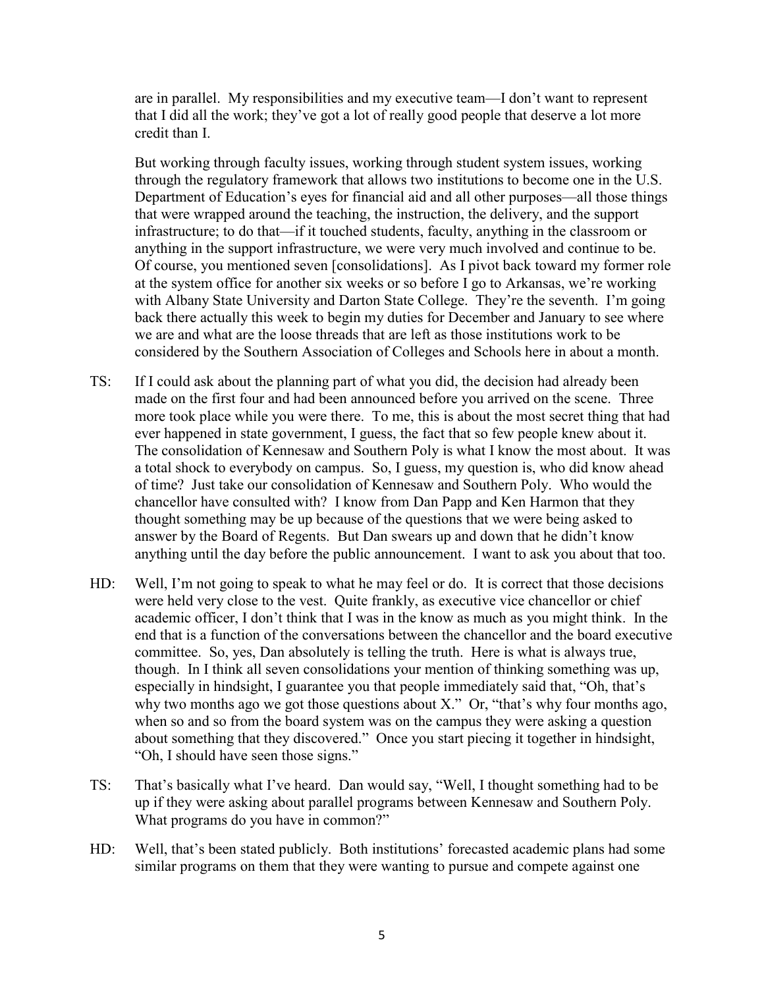are in parallel. My responsibilities and my executive team—I don't want to represent that I did all the work; they've got a lot of really good people that deserve a lot more credit than I.

But working through faculty issues, working through student system issues, working through the regulatory framework that allows two institutions to become one in the U.S. Department of Education's eyes for financial aid and all other purposes—all those things that were wrapped around the teaching, the instruction, the delivery, and the support infrastructure; to do that—if it touched students, faculty, anything in the classroom or anything in the support infrastructure, we were very much involved and continue to be. Of course, you mentioned seven [consolidations]. As I pivot back toward my former role at the system office for another six weeks or so before I go to Arkansas, we're working with Albany State University and Darton State College. They're the seventh. I'm going back there actually this week to begin my duties for December and January to see where we are and what are the loose threads that are left as those institutions work to be considered by the Southern Association of Colleges and Schools here in about a month.

- TS: If I could ask about the planning part of what you did, the decision had already been made on the first four and had been announced before you arrived on the scene. Three more took place while you were there. To me, this is about the most secret thing that had ever happened in state government, I guess, the fact that so few people knew about it. The consolidation of Kennesaw and Southern Poly is what I know the most about. It was a total shock to everybody on campus. So, I guess, my question is, who did know ahead of time? Just take our consolidation of Kennesaw and Southern Poly. Who would the chancellor have consulted with? I know from Dan Papp and Ken Harmon that they thought something may be up because of the questions that we were being asked to answer by the Board of Regents. But Dan swears up and down that he didn't know anything until the day before the public announcement. I want to ask you about that too.
- HD: Well, I'm not going to speak to what he may feel or do. It is correct that those decisions were held very close to the vest. Quite frankly, as executive vice chancellor or chief academic officer, I don't think that I was in the know as much as you might think. In the end that is a function of the conversations between the chancellor and the board executive committee. So, yes, Dan absolutely is telling the truth. Here is what is always true, though. In I think all seven consolidations your mention of thinking something was up, especially in hindsight, I guarantee you that people immediately said that, "Oh, that's why two months ago we got those questions about X." Or, "that's why four months ago, when so and so from the board system was on the campus they were asking a question about something that they discovered." Once you start piecing it together in hindsight, "Oh, I should have seen those signs."
- TS: That's basically what I've heard. Dan would say, "Well, I thought something had to be up if they were asking about parallel programs between Kennesaw and Southern Poly. What programs do you have in common?"
- HD: Well, that's been stated publicly. Both institutions' forecasted academic plans had some similar programs on them that they were wanting to pursue and compete against one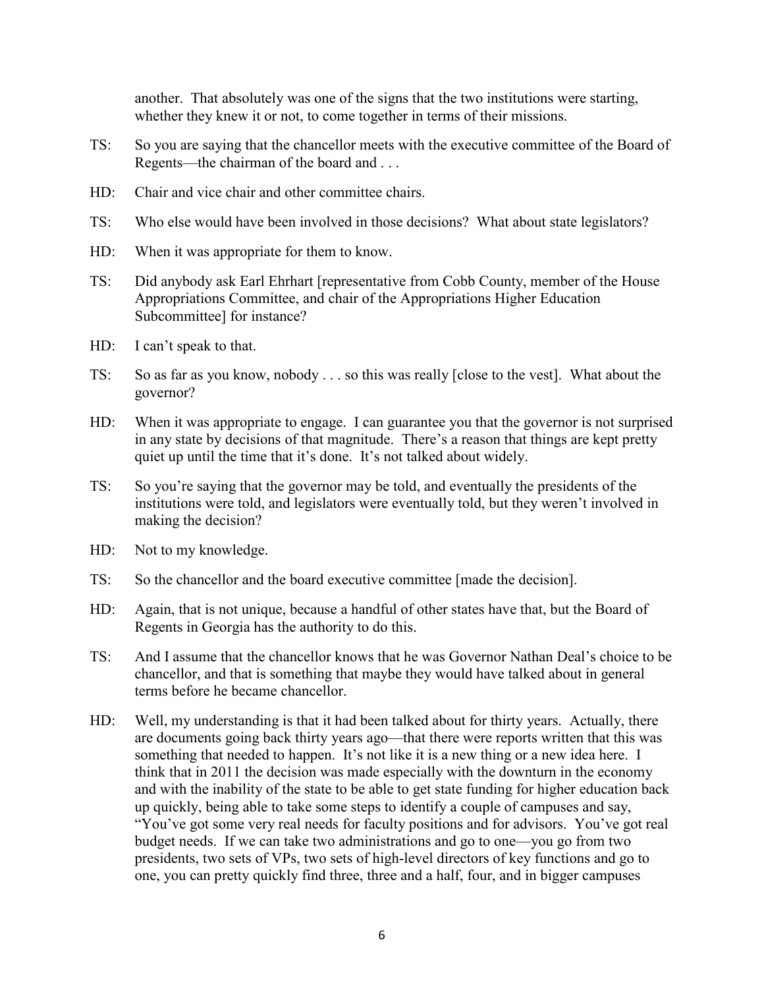another. That absolutely was one of the signs that the two institutions were starting, whether they knew it or not, to come together in terms of their missions.

- TS: So you are saying that the chancellor meets with the executive committee of the Board of Regents—the chairman of the board and . . .
- HD: Chair and vice chair and other committee chairs.
- TS: Who else would have been involved in those decisions? What about state legislators?
- HD: When it was appropriate for them to know.
- TS: Did anybody ask Earl Ehrhart [representative from Cobb County, member of the House Appropriations Committee, and chair of the Appropriations Higher Education Subcommittee] for instance?
- HD: I can't speak to that.
- TS: So as far as you know, nobody . . . so this was really [close to the vest]. What about the governor?
- HD: When it was appropriate to engage. I can guarantee you that the governor is not surprised in any state by decisions of that magnitude. There's a reason that things are kept pretty quiet up until the time that it's done. It's not talked about widely.
- TS: So you're saying that the governor may be told, and eventually the presidents of the institutions were told, and legislators were eventually told, but they weren't involved in making the decision?
- HD: Not to my knowledge.
- TS: So the chancellor and the board executive committee [made the decision].
- HD: Again, that is not unique, because a handful of other states have that, but the Board of Regents in Georgia has the authority to do this.
- TS: And I assume that the chancellor knows that he was Governor Nathan Deal's choice to be chancellor, and that is something that maybe they would have talked about in general terms before he became chancellor.
- HD: Well, my understanding is that it had been talked about for thirty years. Actually, there are documents going back thirty years ago—that there were reports written that this was something that needed to happen. It's not like it is a new thing or a new idea here. I think that in 2011 the decision was made especially with the downturn in the economy and with the inability of the state to be able to get state funding for higher education back up quickly, being able to take some steps to identify a couple of campuses and say, "You've got some very real needs for faculty positions and for advisors. You've got real budget needs. If we can take two administrations and go to one—you go from two presidents, two sets of VPs, two sets of high-level directors of key functions and go to one, you can pretty quickly find three, three and a half, four, and in bigger campuses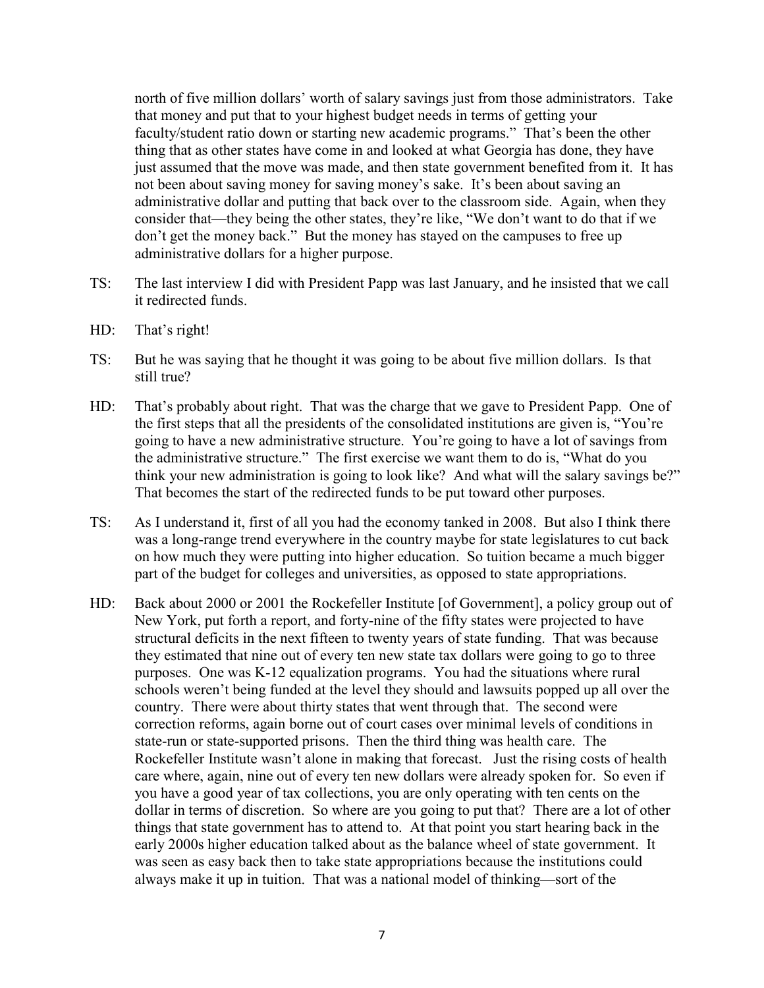north of five million dollars' worth of salary savings just from those administrators. Take that money and put that to your highest budget needs in terms of getting your faculty/student ratio down or starting new academic programs." That's been the other thing that as other states have come in and looked at what Georgia has done, they have just assumed that the move was made, and then state government benefited from it. It has not been about saving money for saving money's sake. It's been about saving an administrative dollar and putting that back over to the classroom side. Again, when they consider that—they being the other states, they're like, "We don't want to do that if we don't get the money back." But the money has stayed on the campuses to free up administrative dollars for a higher purpose.

- TS: The last interview I did with President Papp was last January, and he insisted that we call it redirected funds.
- HD: That's right!
- TS: But he was saying that he thought it was going to be about five million dollars. Is that still true?
- HD: That's probably about right. That was the charge that we gave to President Papp. One of the first steps that all the presidents of the consolidated institutions are given is, "You're going to have a new administrative structure. You're going to have a lot of savings from the administrative structure." The first exercise we want them to do is, "What do you think your new administration is going to look like? And what will the salary savings be?" That becomes the start of the redirected funds to be put toward other purposes.
- TS: As I understand it, first of all you had the economy tanked in 2008. But also I think there was a long-range trend everywhere in the country maybe for state legislatures to cut back on how much they were putting into higher education. So tuition became a much bigger part of the budget for colleges and universities, as opposed to state appropriations.
- HD: Back about 2000 or 2001 the Rockefeller Institute [of Government], a policy group out of New York, put forth a report, and forty-nine of the fifty states were projected to have structural deficits in the next fifteen to twenty years of state funding. That was because they estimated that nine out of every ten new state tax dollars were going to go to three purposes. One was K-12 equalization programs. You had the situations where rural schools weren't being funded at the level they should and lawsuits popped up all over the country. There were about thirty states that went through that. The second were correction reforms, again borne out of court cases over minimal levels of conditions in state-run or state-supported prisons. Then the third thing was health care. The Rockefeller Institute wasn't alone in making that forecast. Just the rising costs of health care where, again, nine out of every ten new dollars were already spoken for. So even if you have a good year of tax collections, you are only operating with ten cents on the dollar in terms of discretion. So where are you going to put that? There are a lot of other things that state government has to attend to. At that point you start hearing back in the early 2000s higher education talked about as the balance wheel of state government. It was seen as easy back then to take state appropriations because the institutions could always make it up in tuition. That was a national model of thinking—sort of the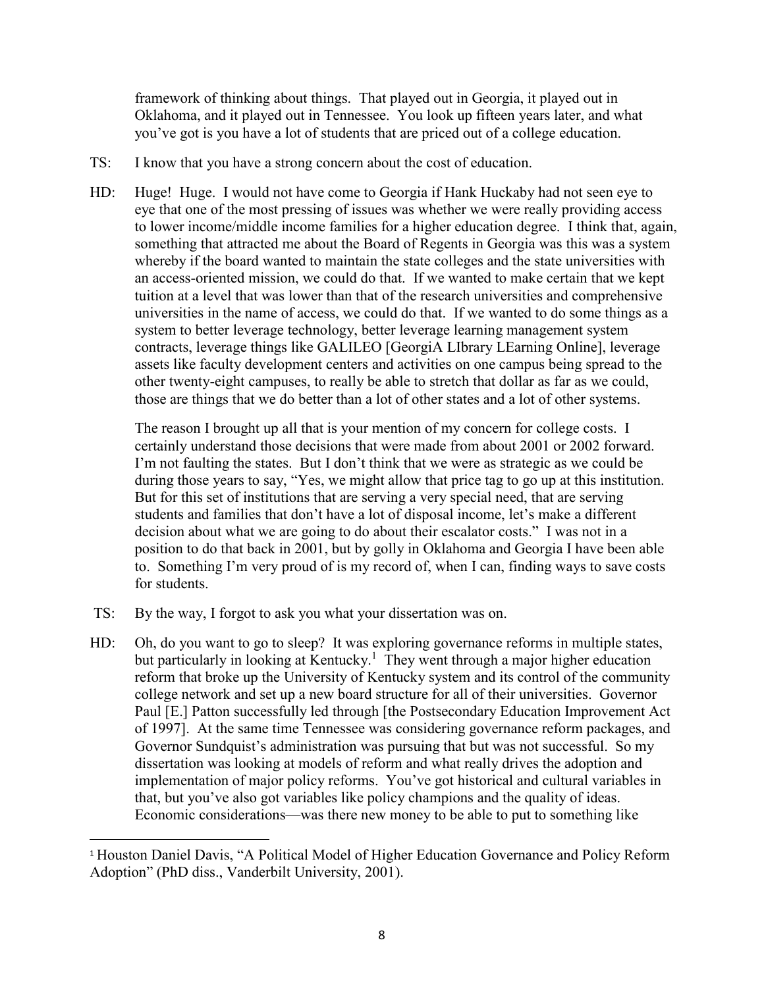framework of thinking about things. That played out in Georgia, it played out in Oklahoma, and it played out in Tennessee. You look up fifteen years later, and what you've got is you have a lot of students that are priced out of a college education.

- TS: I know that you have a strong concern about the cost of education.
- HD: Huge! Huge. I would not have come to Georgia if Hank Huckaby had not seen eye to eye that one of the most pressing of issues was whether we were really providing access to lower income/middle income families for a higher education degree. I think that, again, something that attracted me about the Board of Regents in Georgia was this was a system whereby if the board wanted to maintain the state colleges and the state universities with an access-oriented mission, we could do that. If we wanted to make certain that we kept tuition at a level that was lower than that of the research universities and comprehensive universities in the name of access, we could do that. If we wanted to do some things as a system to better leverage technology, better leverage learning management system contracts, leverage things like GALILEO [GeorgiA LIbrary LEarning Online], leverage assets like faculty development centers and activities on one campus being spread to the other twenty-eight campuses, to really be able to stretch that dollar as far as we could, those are things that we do better than a lot of other states and a lot of other systems.

The reason I brought up all that is your mention of my concern for college costs. I certainly understand those decisions that were made from about 2001 or 2002 forward. I'm not faulting the states. But I don't think that we were as strategic as we could be during those years to say, "Yes, we might allow that price tag to go up at this institution. But for this set of institutions that are serving a very special need, that are serving students and families that don't have a lot of disposal income, let's make a different decision about what we are going to do about their escalator costs." I was not in a position to do that back in 2001, but by golly in Oklahoma and Georgia I have been able to. Something I'm very proud of is my record of, when I can, finding ways to save costs for students.

- TS: By the way, I forgot to ask you what your dissertation was on.
- HD: Oh, do you want to go to sleep? It was exploring governance reforms in multiple states, but particularly in looking at Kentucky.<sup>1</sup> They went through a major higher education reform that broke up the University of Kentucky system and its control of the community college network and set up a new board structure for all of their universities. Governor Paul [E.] Patton successfully led through [the Postsecondary Education Improvement Act of 1997]. At the same time Tennessee was considering governance reform packages, and Governor Sundquist's administration was pursuing that but was not successful. So my dissertation was looking at models of reform and what really drives the adoption and implementation of major policy reforms. You've got historical and cultural variables in that, but you've also got variables like policy champions and the quality of ideas. Economic considerations—was there new money to be able to put to something like

 <sup>1</sup> Houston Daniel Davis, "A Political Model of Higher Education Governance and Policy Reform Adoption" (PhD diss., Vanderbilt University, 2001).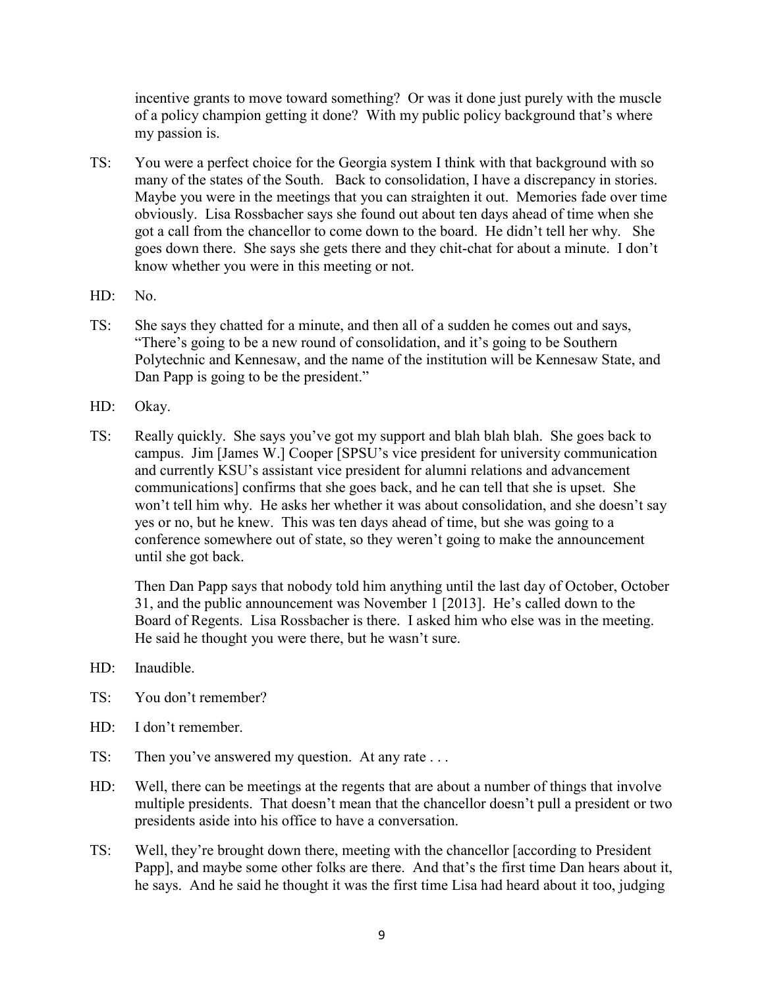incentive grants to move toward something? Or was it done just purely with the muscle of a policy champion getting it done? With my public policy background that's where my passion is.

- TS: You were a perfect choice for the Georgia system I think with that background with so many of the states of the South. Back to consolidation, I have a discrepancy in stories. Maybe you were in the meetings that you can straighten it out. Memories fade over time obviously. Lisa Rossbacher says she found out about ten days ahead of time when she got a call from the chancellor to come down to the board. He didn't tell her why. She goes down there. She says she gets there and they chit-chat for about a minute. I don't know whether you were in this meeting or not.
- HD: No.
- TS: She says they chatted for a minute, and then all of a sudden he comes out and says, "There's going to be a new round of consolidation, and it's going to be Southern Polytechnic and Kennesaw, and the name of the institution will be Kennesaw State, and Dan Papp is going to be the president."
- HD: Okay.
- TS: Really quickly. She says you've got my support and blah blah blah. She goes back to campus. Jim [James W.] Cooper [SPSU's vice president for university communication and currently KSU's assistant vice president for alumni relations and advancement communications] confirms that she goes back, and he can tell that she is upset. She won't tell him why. He asks her whether it was about consolidation, and she doesn't say yes or no, but he knew. This was ten days ahead of time, but she was going to a conference somewhere out of state, so they weren't going to make the announcement until she got back.

Then Dan Papp says that nobody told him anything until the last day of October, October 31, and the public announcement was November 1 [2013]. He's called down to the Board of Regents. Lisa Rossbacher is there. I asked him who else was in the meeting. He said he thought you were there, but he wasn't sure.

- HD: Inaudible.
- TS: You don't remember?
- HD: I don't remember.
- TS: Then you've answered my question. At any rate ...
- HD: Well, there can be meetings at the regents that are about a number of things that involve multiple presidents. That doesn't mean that the chancellor doesn't pull a president or two presidents aside into his office to have a conversation.
- TS: Well, they're brought down there, meeting with the chancellor [according to President Papp], and maybe some other folks are there. And that's the first time Dan hears about it, he says. And he said he thought it was the first time Lisa had heard about it too, judging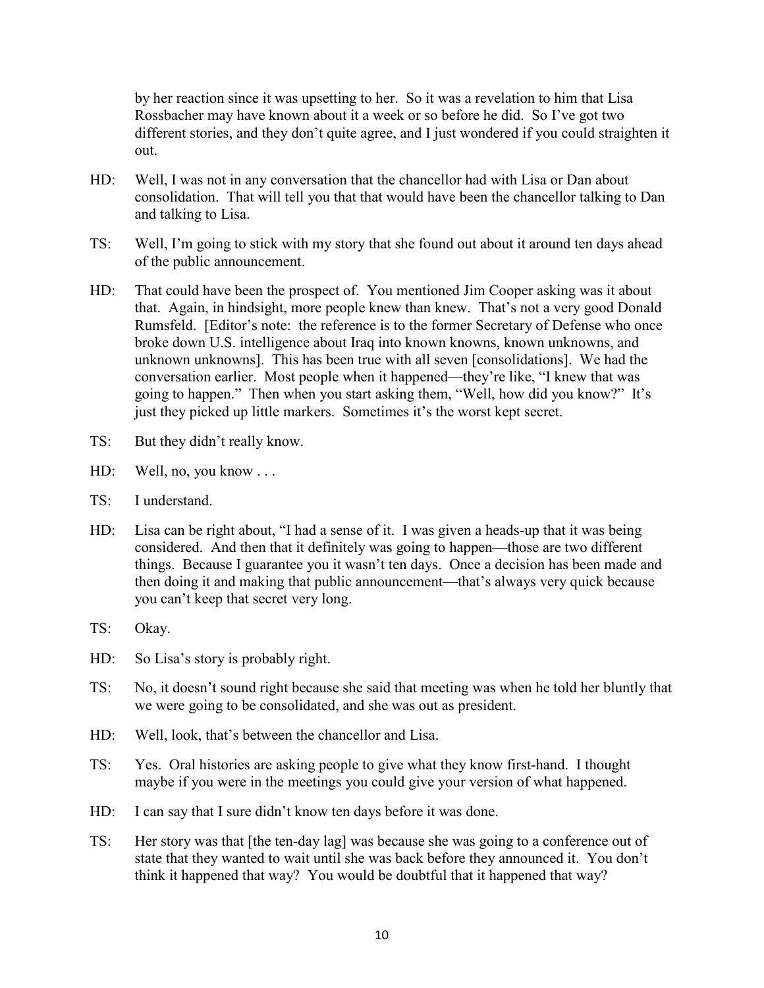by her reaction since it was upsetting to her. So it was a revelation to him that Lisa Rossbacher may have known about it a week or so before he did. So I've got two different stories, and they don't quite agree, and I just wondered if you could straighten it out.

- HD: Well, I was not in any conversation that the chancellor had with Lisa or Dan about consolidation. That will tell you that that would have been the chancellor talking to Dan and talking to Lisa.
- TS: Well, I'm going to stick with my story that she found out about it around ten days ahead of the public announcement.
- HD: That could have been the prospect of. You mentioned Jim Cooper asking was it about that. Again, in hindsight, more people knew than knew. That's not a very good Donald Rumsfeld. [Editor's note: the reference is to the former Secretary of Defense who once broke down U.S. intelligence about Iraq into known knowns, known unknowns, and unknown unknowns]. This has been true with all seven [consolidations]. We had the conversation earlier. Most people when it happened—they're like, "I knew that was going to happen." Then when you start asking them, "Well, how did you know?" It's just they picked up little markers. Sometimes it's the worst kept secret.
- TS: But they didn't really know.
- HD: Well, no, you know . . .
- TS: I understand.
- HD: Lisa can be right about, "I had a sense of it. I was given a heads-up that it was being considered. And then that it definitely was going to happen—those are two different things. Because I guarantee you it wasn't ten days. Once a decision has been made and then doing it and making that public announcement—that's always very quick because you can't keep that secret very long.
- TS: Okay.
- HD: So Lisa's story is probably right.
- TS: No, it doesn't sound right because she said that meeting was when he told her bluntly that we were going to be consolidated, and she was out as president.
- HD: Well, look, that's between the chancellor and Lisa.
- TS: Yes. Oral histories are asking people to give what they know first-hand. I thought maybe if you were in the meetings you could give your version of what happened.
- HD: I can say that I sure didn't know ten days before it was done.
- TS: Her story was that [the ten-day lag] was because she was going to a conference out of state that they wanted to wait until she was back before they announced it. You don't think it happened that way? You would be doubtful that it happened that way?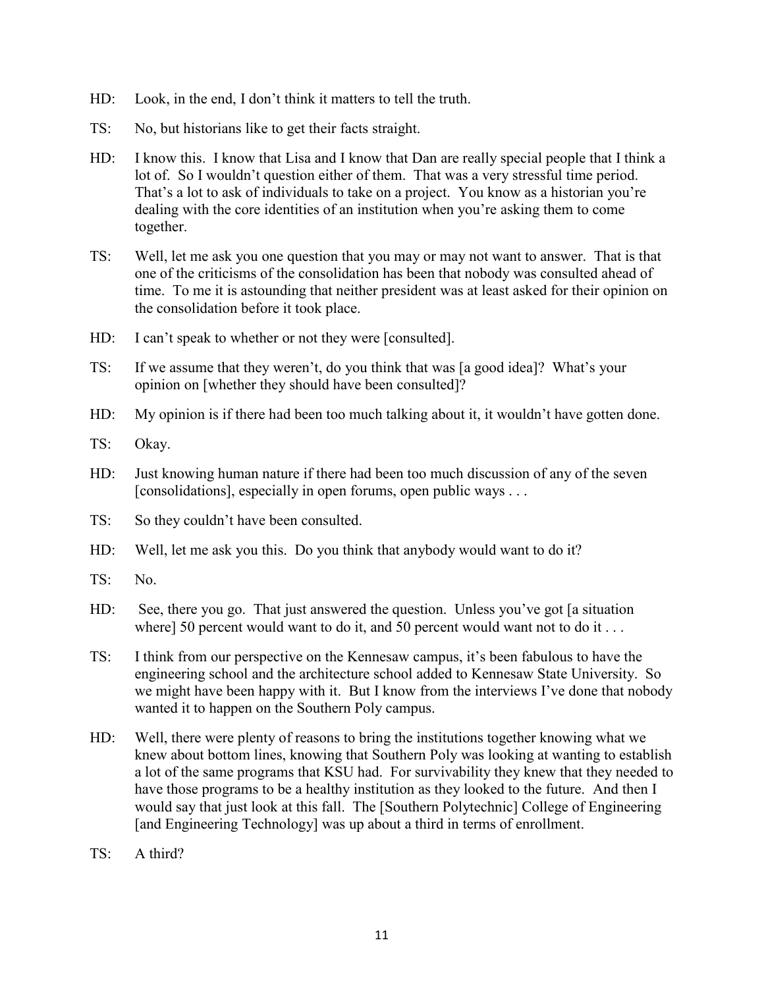- HD: Look, in the end, I don't think it matters to tell the truth.
- TS: No, but historians like to get their facts straight.
- HD: I know this. I know that Lisa and I know that Dan are really special people that I think a lot of. So I wouldn't question either of them. That was a very stressful time period. That's a lot to ask of individuals to take on a project. You know as a historian you're dealing with the core identities of an institution when you're asking them to come together.
- TS: Well, let me ask you one question that you may or may not want to answer. That is that one of the criticisms of the consolidation has been that nobody was consulted ahead of time. To me it is astounding that neither president was at least asked for their opinion on the consolidation before it took place.
- HD: I can't speak to whether or not they were [consulted].
- TS: If we assume that they weren't, do you think that was [a good idea]? What's your opinion on [whether they should have been consulted]?
- HD: My opinion is if there had been too much talking about it, it wouldn't have gotten done.
- TS: Okay.
- HD: Just knowing human nature if there had been too much discussion of any of the seven [consolidations], especially in open forums, open public ways . . .
- TS: So they couldn't have been consulted.
- HD: Well, let me ask you this. Do you think that anybody would want to do it?
- TS: No.
- HD: See, there you go. That just answered the question. Unless you've got [a situation where] 50 percent would want to do it, and 50 percent would want not to do it . . .
- TS: I think from our perspective on the Kennesaw campus, it's been fabulous to have the engineering school and the architecture school added to Kennesaw State University. So we might have been happy with it. But I know from the interviews I've done that nobody wanted it to happen on the Southern Poly campus.
- HD: Well, there were plenty of reasons to bring the institutions together knowing what we knew about bottom lines, knowing that Southern Poly was looking at wanting to establish a lot of the same programs that KSU had. For survivability they knew that they needed to have those programs to be a healthy institution as they looked to the future. And then I would say that just look at this fall. The [Southern Polytechnic] College of Engineering [and Engineering Technology] was up about a third in terms of enrollment.
- $TS: A third?$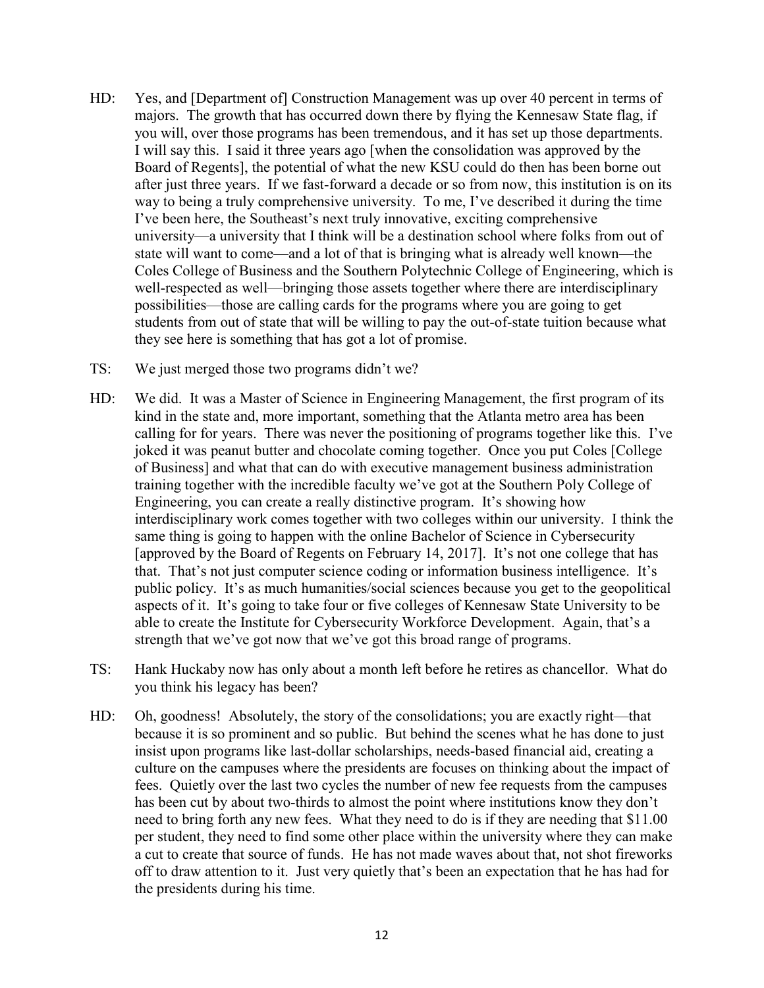- HD: Yes, and [Department of] Construction Management was up over 40 percent in terms of majors. The growth that has occurred down there by flying the Kennesaw State flag, if you will, over those programs has been tremendous, and it has set up those departments. I will say this. I said it three years ago [when the consolidation was approved by the Board of Regents], the potential of what the new KSU could do then has been borne out after just three years. If we fast-forward a decade or so from now, this institution is on its way to being a truly comprehensive university. To me, I've described it during the time I've been here, the Southeast's next truly innovative, exciting comprehensive university—a university that I think will be a destination school where folks from out of state will want to come—and a lot of that is bringing what is already well known—the Coles College of Business and the Southern Polytechnic College of Engineering, which is well-respected as well—bringing those assets together where there are interdisciplinary possibilities—those are calling cards for the programs where you are going to get students from out of state that will be willing to pay the out-of-state tuition because what they see here is something that has got a lot of promise.
- TS: We just merged those two programs didn't we?
- HD: We did. It was a Master of Science in Engineering Management, the first program of its kind in the state and, more important, something that the Atlanta metro area has been calling for for years. There was never the positioning of programs together like this. I've joked it was peanut butter and chocolate coming together. Once you put Coles [College of Business] and what that can do with executive management business administration training together with the incredible faculty we've got at the Southern Poly College of Engineering, you can create a really distinctive program. It's showing how interdisciplinary work comes together with two colleges within our university. I think the same thing is going to happen with the online Bachelor of Science in Cybersecurity [approved by the Board of Regents on February 14, 2017]. It's not one college that has that. That's not just computer science coding or information business intelligence. It's public policy. It's as much humanities/social sciences because you get to the geopolitical aspects of it. It's going to take four or five colleges of Kennesaw State University to be able to create the Institute for Cybersecurity Workforce Development. Again, that's a strength that we've got now that we've got this broad range of programs.
- TS: Hank Huckaby now has only about a month left before he retires as chancellor. What do you think his legacy has been?
- HD: Oh, goodness! Absolutely, the story of the consolidations; you are exactly right—that because it is so prominent and so public. But behind the scenes what he has done to just insist upon programs like last-dollar scholarships, needs-based financial aid, creating a culture on the campuses where the presidents are focuses on thinking about the impact of fees. Quietly over the last two cycles the number of new fee requests from the campuses has been cut by about two-thirds to almost the point where institutions know they don't need to bring forth any new fees. What they need to do is if they are needing that \$11.00 per student, they need to find some other place within the university where they can make a cut to create that source of funds. He has not made waves about that, not shot fireworks off to draw attention to it. Just very quietly that's been an expectation that he has had for the presidents during his time.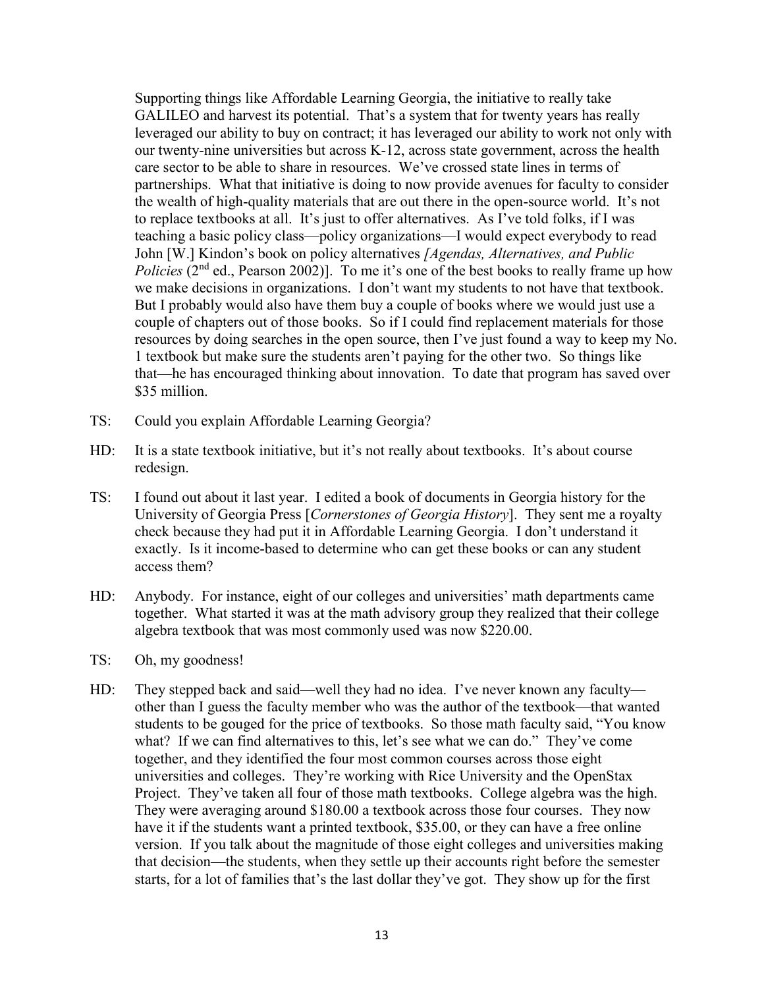Supporting things like Affordable Learning Georgia, the initiative to really take GALILEO and harvest its potential. That's a system that for twenty years has really leveraged our ability to buy on contract; it has leveraged our ability to work not only with our twenty-nine universities but across K-12, across state government, across the health care sector to be able to share in resources. We've crossed state lines in terms of partnerships. What that initiative is doing to now provide avenues for faculty to consider the wealth of high-quality materials that are out there in the open-source world. It's not to replace textbooks at all. It's just to offer alternatives. As I've told folks, if I was teaching a basic policy class—policy organizations—I would expect everybody to read John [W.] Kindon's book on policy alternatives *[Agendas, Alternatives, and Public Policies* (2<sup>nd</sup> ed., Pearson 2002)]. To me it's one of the best books to really frame up how we make decisions in organizations. I don't want my students to not have that textbook. But I probably would also have them buy a couple of books where we would just use a couple of chapters out of those books. So if I could find replacement materials for those resources by doing searches in the open source, then I've just found a way to keep my No. 1 textbook but make sure the students aren't paying for the other two. So things like that—he has encouraged thinking about innovation. To date that program has saved over \$35 million.

- TS: Could you explain Affordable Learning Georgia?
- HD: It is a state textbook initiative, but it's not really about textbooks. It's about course redesign.
- TS: I found out about it last year. I edited a book of documents in Georgia history for the University of Georgia Press [*Cornerstones of Georgia History*]. They sent me a royalty check because they had put it in Affordable Learning Georgia. I don't understand it exactly. Is it income-based to determine who can get these books or can any student access them?
- HD: Anybody. For instance, eight of our colleges and universities' math departments came together. What started it was at the math advisory group they realized that their college algebra textbook that was most commonly used was now \$220.00.
- TS: Oh, my goodness!
- HD: They stepped back and said—well they had no idea. I've never known any faculty other than I guess the faculty member who was the author of the textbook—that wanted students to be gouged for the price of textbooks. So those math faculty said, "You know what? If we can find alternatives to this, let's see what we can do." They've come together, and they identified the four most common courses across those eight universities and colleges. They're working with Rice University and the OpenStax Project. They've taken all four of those math textbooks. College algebra was the high. They were averaging around \$180.00 a textbook across those four courses. They now have it if the students want a printed textbook, \$35.00, or they can have a free online version. If you talk about the magnitude of those eight colleges and universities making that decision—the students, when they settle up their accounts right before the semester starts, for a lot of families that's the last dollar they've got. They show up for the first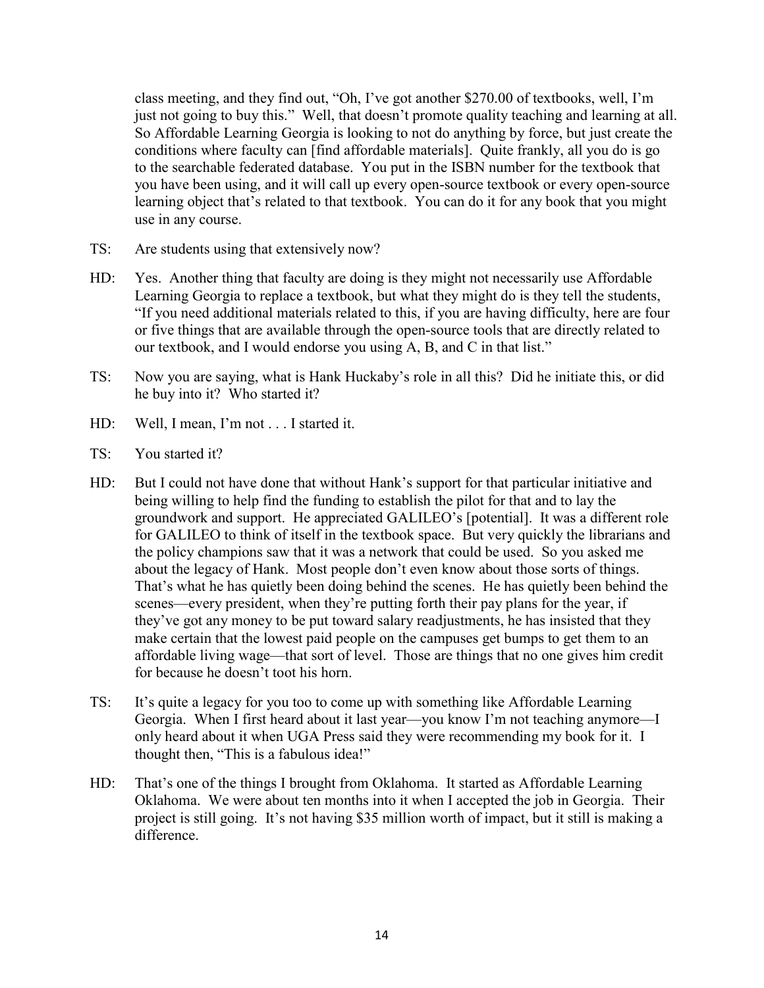class meeting, and they find out, "Oh, I've got another \$270.00 of textbooks, well, I'm just not going to buy this." Well, that doesn't promote quality teaching and learning at all. So Affordable Learning Georgia is looking to not do anything by force, but just create the conditions where faculty can [find affordable materials]. Quite frankly, all you do is go to the searchable federated database. You put in the ISBN number for the textbook that you have been using, and it will call up every open-source textbook or every open-source learning object that's related to that textbook. You can do it for any book that you might use in any course.

- TS: Are students using that extensively now?
- HD: Yes. Another thing that faculty are doing is they might not necessarily use Affordable Learning Georgia to replace a textbook, but what they might do is they tell the students, "If you need additional materials related to this, if you are having difficulty, here are four or five things that are available through the open-source tools that are directly related to our textbook, and I would endorse you using A, B, and C in that list."
- TS: Now you are saying, what is Hank Huckaby's role in all this? Did he initiate this, or did he buy into it? Who started it?
- HD: Well, I mean, I'm not . . . I started it.
- TS: You started it?
- HD: But I could not have done that without Hank's support for that particular initiative and being willing to help find the funding to establish the pilot for that and to lay the groundwork and support. He appreciated GALILEO's [potential]. It was a different role for GALILEO to think of itself in the textbook space. But very quickly the librarians and the policy champions saw that it was a network that could be used. So you asked me about the legacy of Hank. Most people don't even know about those sorts of things. That's what he has quietly been doing behind the scenes. He has quietly been behind the scenes—every president, when they're putting forth their pay plans for the year, if they've got any money to be put toward salary readjustments, he has insisted that they make certain that the lowest paid people on the campuses get bumps to get them to an affordable living wage—that sort of level. Those are things that no one gives him credit for because he doesn't toot his horn.
- TS: It's quite a legacy for you too to come up with something like Affordable Learning Georgia. When I first heard about it last year—you know I'm not teaching anymore—I only heard about it when UGA Press said they were recommending my book for it. I thought then, "This is a fabulous idea!"
- HD: That's one of the things I brought from Oklahoma. It started as Affordable Learning Oklahoma. We were about ten months into it when I accepted the job in Georgia. Their project is still going. It's not having \$35 million worth of impact, but it still is making a difference.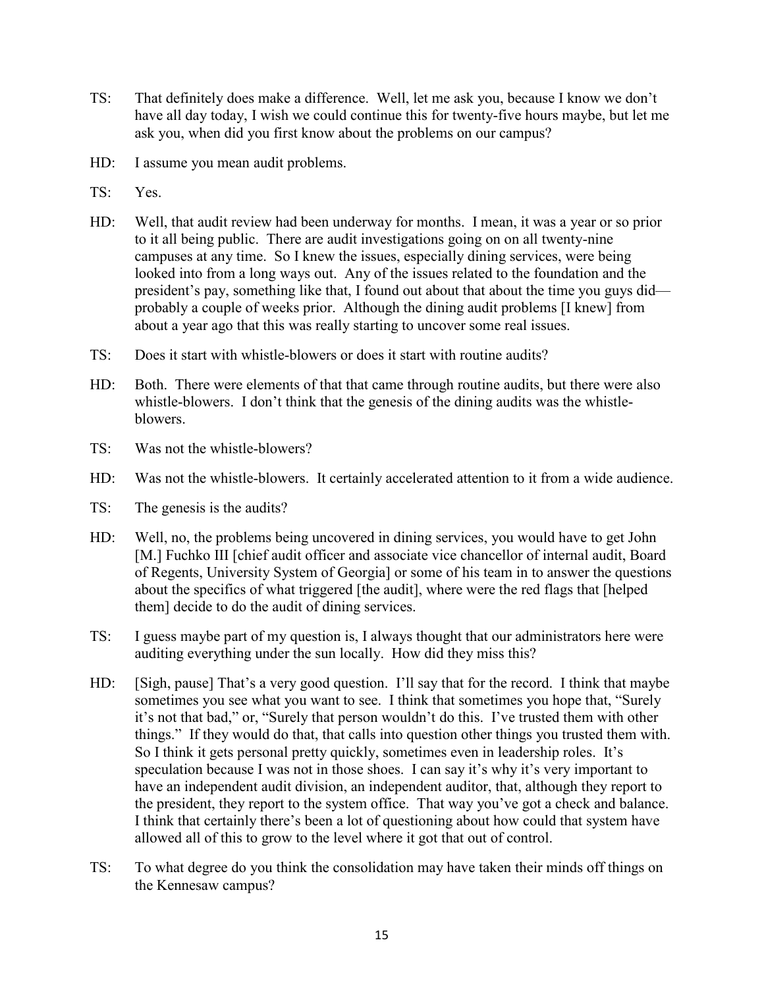- TS: That definitely does make a difference. Well, let me ask you, because I know we don't have all day today, I wish we could continue this for twenty-five hours maybe, but let me ask you, when did you first know about the problems on our campus?
- HD: I assume you mean audit problems.
- TS: Yes.
- HD: Well, that audit review had been underway for months. I mean, it was a year or so prior to it all being public. There are audit investigations going on on all twenty-nine campuses at any time. So I knew the issues, especially dining services, were being looked into from a long ways out. Any of the issues related to the foundation and the president's pay, something like that, I found out about that about the time you guys did probably a couple of weeks prior. Although the dining audit problems [I knew] from about a year ago that this was really starting to uncover some real issues.
- TS: Does it start with whistle-blowers or does it start with routine audits?
- HD: Both. There were elements of that that came through routine audits, but there were also whistle-blowers. I don't think that the genesis of the dining audits was the whistleblowers.
- TS: Was not the whistle-blowers?
- HD: Was not the whistle-blowers. It certainly accelerated attention to it from a wide audience.
- TS: The genesis is the audits?
- HD: Well, no, the problems being uncovered in dining services, you would have to get John [M.] Fuchko III [chief audit officer and associate vice chancellor of internal audit, Board of Regents, University System of Georgia] or some of his team in to answer the questions about the specifics of what triggered [the audit], where were the red flags that [helped them] decide to do the audit of dining services.
- TS: I guess maybe part of my question is, I always thought that our administrators here were auditing everything under the sun locally. How did they miss this?
- HD: [Sigh, pause] That's a very good question. I'll say that for the record. I think that maybe sometimes you see what you want to see. I think that sometimes you hope that, "Surely it's not that bad," or, "Surely that person wouldn't do this. I've trusted them with other things." If they would do that, that calls into question other things you trusted them with. So I think it gets personal pretty quickly, sometimes even in leadership roles. It's speculation because I was not in those shoes. I can say it's why it's very important to have an independent audit division, an independent auditor, that, although they report to the president, they report to the system office. That way you've got a check and balance. I think that certainly there's been a lot of questioning about how could that system have allowed all of this to grow to the level where it got that out of control.
- TS: To what degree do you think the consolidation may have taken their minds off things on the Kennesaw campus?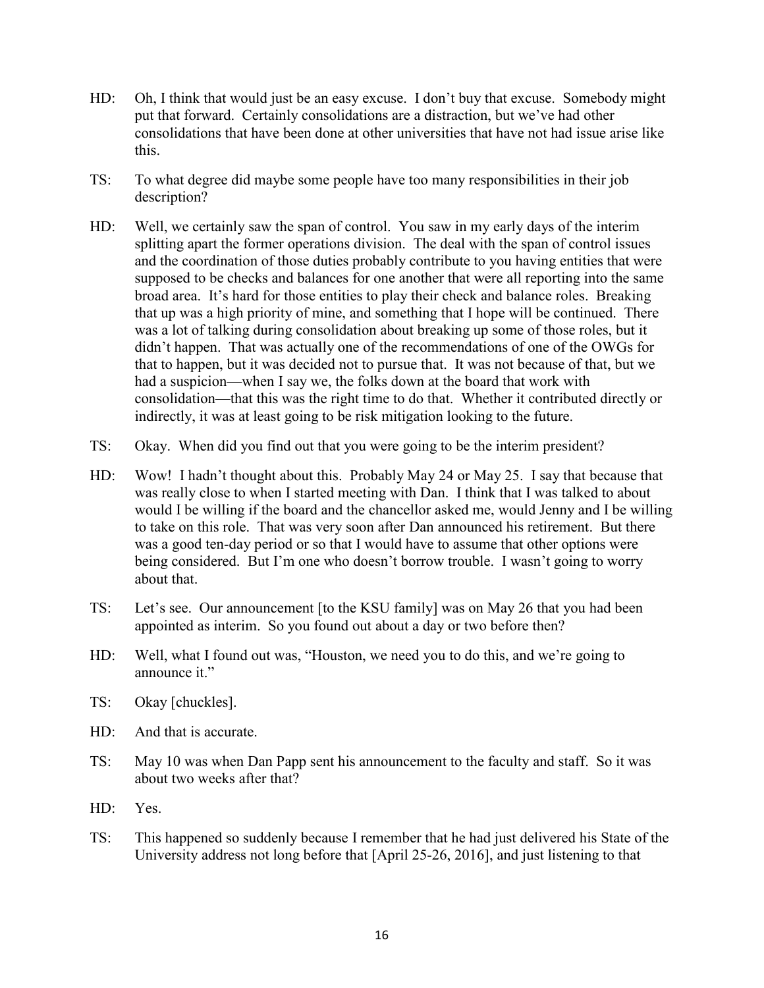- HD: Oh, I think that would just be an easy excuse. I don't buy that excuse. Somebody might put that forward. Certainly consolidations are a distraction, but we've had other consolidations that have been done at other universities that have not had issue arise like this.
- TS: To what degree did maybe some people have too many responsibilities in their job description?
- HD: Well, we certainly saw the span of control. You saw in my early days of the interim splitting apart the former operations division. The deal with the span of control issues and the coordination of those duties probably contribute to you having entities that were supposed to be checks and balances for one another that were all reporting into the same broad area. It's hard for those entities to play their check and balance roles. Breaking that up was a high priority of mine, and something that I hope will be continued. There was a lot of talking during consolidation about breaking up some of those roles, but it didn't happen. That was actually one of the recommendations of one of the OWGs for that to happen, but it was decided not to pursue that. It was not because of that, but we had a suspicion—when I say we, the folks down at the board that work with consolidation—that this was the right time to do that. Whether it contributed directly or indirectly, it was at least going to be risk mitigation looking to the future.
- TS: Okay. When did you find out that you were going to be the interim president?
- HD: Wow! I hadn't thought about this. Probably May 24 or May 25. I say that because that was really close to when I started meeting with Dan. I think that I was talked to about would I be willing if the board and the chancellor asked me, would Jenny and I be willing to take on this role. That was very soon after Dan announced his retirement. But there was a good ten-day period or so that I would have to assume that other options were being considered. But I'm one who doesn't borrow trouble. I wasn't going to worry about that.
- TS: Let's see. Our announcement [to the KSU family] was on May 26 that you had been appointed as interim. So you found out about a day or two before then?
- HD: Well, what I found out was, "Houston, we need you to do this, and we're going to announce it."
- TS: Okay [chuckles].
- HD: And that is accurate.
- TS: May 10 was when Dan Papp sent his announcement to the faculty and staff. So it was about two weeks after that?
- HD: Yes.
- TS: This happened so suddenly because I remember that he had just delivered his State of the University address not long before that [April 25-26, 2016], and just listening to that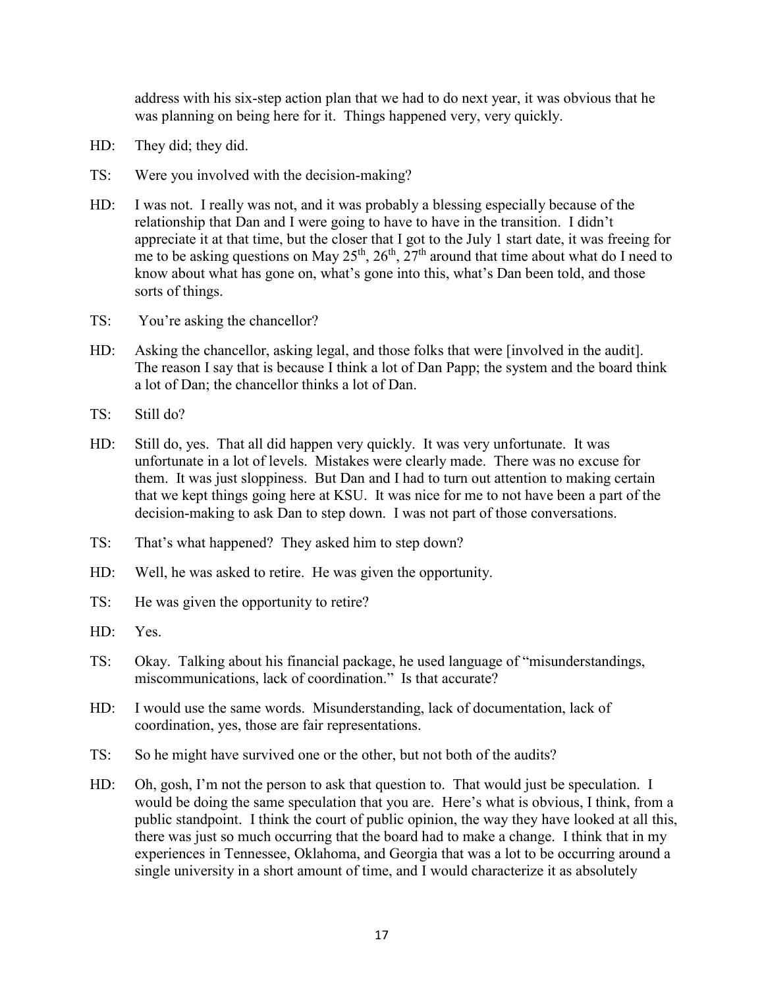address with his six-step action plan that we had to do next year, it was obvious that he was planning on being here for it. Things happened very, very quickly.

- HD: They did; they did.
- TS: Were you involved with the decision-making?
- HD: I was not. I really was not, and it was probably a blessing especially because of the relationship that Dan and I were going to have to have in the transition. I didn't appreciate it at that time, but the closer that I got to the July 1 start date, it was freeing for me to be asking questions on May  $25<sup>th</sup>$ ,  $26<sup>th</sup>$ ,  $27<sup>th</sup>$  around that time about what do I need to know about what has gone on, what's gone into this, what's Dan been told, and those sorts of things.
- TS: You're asking the chancellor?
- HD: Asking the chancellor, asking legal, and those folks that were [involved in the audit]. The reason I say that is because I think a lot of Dan Papp; the system and the board think a lot of Dan; the chancellor thinks a lot of Dan.
- $TS:$  Still do?
- HD: Still do, yes. That all did happen very quickly. It was very unfortunate. It was unfortunate in a lot of levels. Mistakes were clearly made. There was no excuse for them. It was just sloppiness. But Dan and I had to turn out attention to making certain that we kept things going here at KSU. It was nice for me to not have been a part of the decision-making to ask Dan to step down. I was not part of those conversations.
- TS: That's what happened? They asked him to step down?
- HD: Well, he was asked to retire. He was given the opportunity.
- TS: He was given the opportunity to retire?
- HD: Yes.
- TS: Okay. Talking about his financial package, he used language of "misunderstandings, miscommunications, lack of coordination." Is that accurate?
- HD: I would use the same words. Misunderstanding, lack of documentation, lack of coordination, yes, those are fair representations.
- TS: So he might have survived one or the other, but not both of the audits?
- HD: Oh, gosh, I'm not the person to ask that question to. That would just be speculation. I would be doing the same speculation that you are. Here's what is obvious, I think, from a public standpoint. I think the court of public opinion, the way they have looked at all this, there was just so much occurring that the board had to make a change. I think that in my experiences in Tennessee, Oklahoma, and Georgia that was a lot to be occurring around a single university in a short amount of time, and I would characterize it as absolutely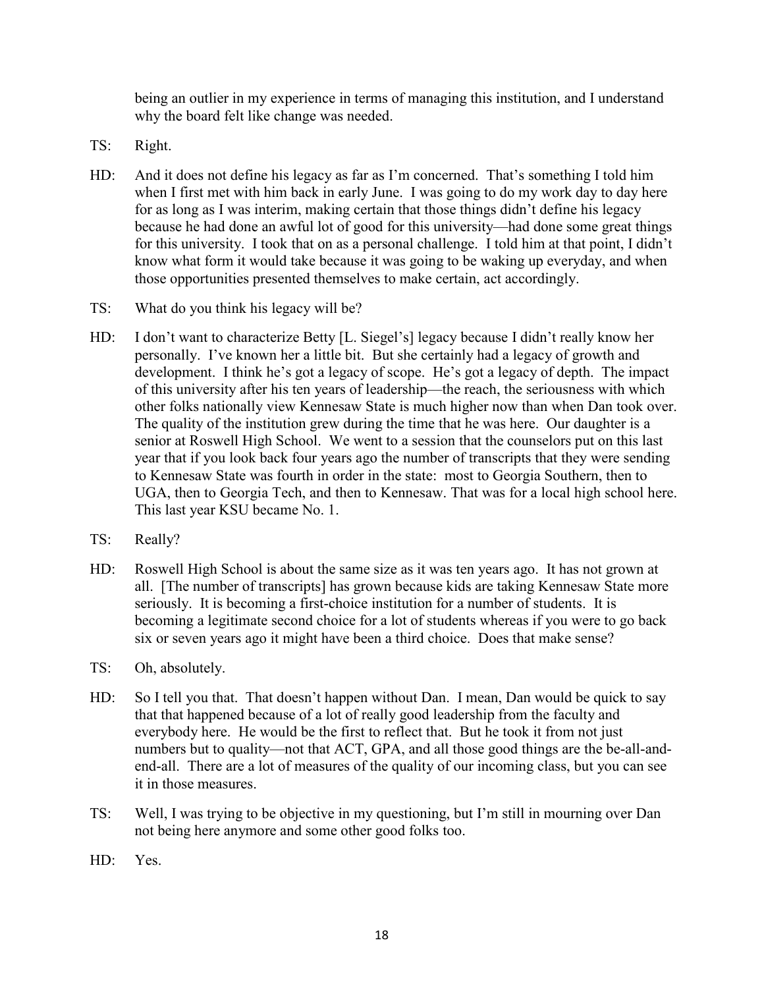being an outlier in my experience in terms of managing this institution, and I understand why the board felt like change was needed.

- TS: Right.
- HD: And it does not define his legacy as far as I'm concerned. That's something I told him when I first met with him back in early June. I was going to do my work day to day here for as long as I was interim, making certain that those things didn't define his legacy because he had done an awful lot of good for this university—had done some great things for this university. I took that on as a personal challenge. I told him at that point, I didn't know what form it would take because it was going to be waking up everyday, and when those opportunities presented themselves to make certain, act accordingly.
- TS: What do you think his legacy will be?
- HD: I don't want to characterize Betty [L. Siegel's] legacy because I didn't really know her personally. I've known her a little bit. But she certainly had a legacy of growth and development. I think he's got a legacy of scope. He's got a legacy of depth. The impact of this university after his ten years of leadership—the reach, the seriousness with which other folks nationally view Kennesaw State is much higher now than when Dan took over. The quality of the institution grew during the time that he was here. Our daughter is a senior at Roswell High School. We went to a session that the counselors put on this last year that if you look back four years ago the number of transcripts that they were sending to Kennesaw State was fourth in order in the state: most to Georgia Southern, then to UGA, then to Georgia Tech, and then to Kennesaw. That was for a local high school here. This last year KSU became No. 1.
- TS: Really?
- HD: Roswell High School is about the same size as it was ten years ago. It has not grown at all. [The number of transcripts] has grown because kids are taking Kennesaw State more seriously. It is becoming a first-choice institution for a number of students. It is becoming a legitimate second choice for a lot of students whereas if you were to go back six or seven years ago it might have been a third choice. Does that make sense?
- TS: Oh, absolutely.
- HD: So I tell you that. That doesn't happen without Dan. I mean, Dan would be quick to say that that happened because of a lot of really good leadership from the faculty and everybody here. He would be the first to reflect that. But he took it from not just numbers but to quality—not that ACT, GPA, and all those good things are the be-all-andend-all. There are a lot of measures of the quality of our incoming class, but you can see it in those measures.
- TS: Well, I was trying to be objective in my questioning, but I'm still in mourning over Dan not being here anymore and some other good folks too.
- HD: Yes.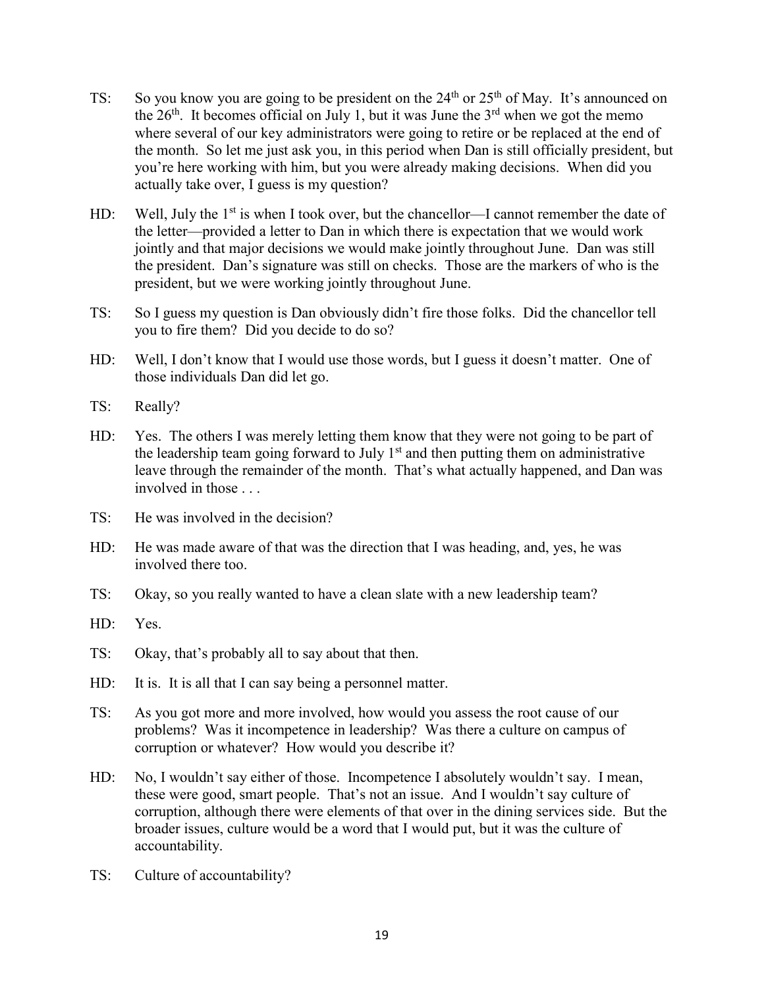- TS: So you know you are going to be president on the  $24<sup>th</sup>$  or  $25<sup>th</sup>$  of May. It's announced on the  $26<sup>th</sup>$ . It becomes official on July 1, but it was June the  $3<sup>rd</sup>$  when we got the memo where several of our key administrators were going to retire or be replaced at the end of the month. So let me just ask you, in this period when Dan is still officially president, but you're here working with him, but you were already making decisions. When did you actually take over, I guess is my question?
- HD: Well, July the  $1<sup>st</sup>$  is when I took over, but the chancellor—I cannot remember the date of the letter—provided a letter to Dan in which there is expectation that we would work jointly and that major decisions we would make jointly throughout June. Dan was still the president. Dan's signature was still on checks. Those are the markers of who is the president, but we were working jointly throughout June.
- TS: So I guess my question is Dan obviously didn't fire those folks. Did the chancellor tell you to fire them? Did you decide to do so?
- HD: Well, I don't know that I would use those words, but I guess it doesn't matter. One of those individuals Dan did let go.
- TS: Really?
- HD: Yes. The others I was merely letting them know that they were not going to be part of the leadership team going forward to July  $1<sup>st</sup>$  and then putting them on administrative leave through the remainder of the month. That's what actually happened, and Dan was involved in those . . .
- TS: He was involved in the decision?
- HD: He was made aware of that was the direction that I was heading, and, yes, he was involved there too.
- TS: Okay, so you really wanted to have a clean slate with a new leadership team?
- HD: Yes.
- TS: Okay, that's probably all to say about that then.
- HD: It is. It is all that I can say being a personnel matter.
- TS: As you got more and more involved, how would you assess the root cause of our problems? Was it incompetence in leadership? Was there a culture on campus of corruption or whatever? How would you describe it?
- HD: No, I wouldn't say either of those. Incompetence I absolutely wouldn't say. I mean, these were good, smart people. That's not an issue. And I wouldn't say culture of corruption, although there were elements of that over in the dining services side. But the broader issues, culture would be a word that I would put, but it was the culture of accountability.
- TS: Culture of accountability?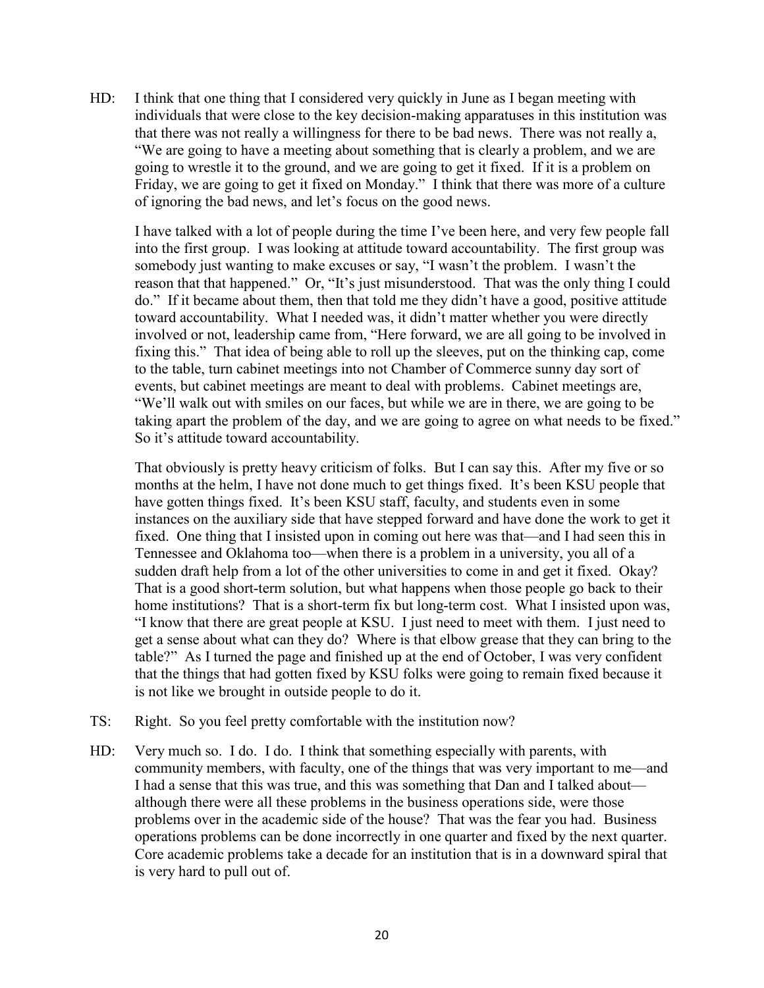HD: I think that one thing that I considered very quickly in June as I began meeting with individuals that were close to the key decision-making apparatuses in this institution was that there was not really a willingness for there to be bad news. There was not really a, "We are going to have a meeting about something that is clearly a problem, and we are going to wrestle it to the ground, and we are going to get it fixed. If it is a problem on Friday, we are going to get it fixed on Monday." I think that there was more of a culture of ignoring the bad news, and let's focus on the good news.

I have talked with a lot of people during the time I've been here, and very few people fall into the first group. I was looking at attitude toward accountability. The first group was somebody just wanting to make excuses or say, "I wasn't the problem. I wasn't the reason that that happened." Or, "It's just misunderstood. That was the only thing I could do." If it became about them, then that told me they didn't have a good, positive attitude toward accountability. What I needed was, it didn't matter whether you were directly involved or not, leadership came from, "Here forward, we are all going to be involved in fixing this." That idea of being able to roll up the sleeves, put on the thinking cap, come to the table, turn cabinet meetings into not Chamber of Commerce sunny day sort of events, but cabinet meetings are meant to deal with problems. Cabinet meetings are, "We'll walk out with smiles on our faces, but while we are in there, we are going to be taking apart the problem of the day, and we are going to agree on what needs to be fixed." So it's attitude toward accountability.

That obviously is pretty heavy criticism of folks. But I can say this. After my five or so months at the helm, I have not done much to get things fixed. It's been KSU people that have gotten things fixed. It's been KSU staff, faculty, and students even in some instances on the auxiliary side that have stepped forward and have done the work to get it fixed. One thing that I insisted upon in coming out here was that—and I had seen this in Tennessee and Oklahoma too—when there is a problem in a university, you all of a sudden draft help from a lot of the other universities to come in and get it fixed. Okay? That is a good short-term solution, but what happens when those people go back to their home institutions? That is a short-term fix but long-term cost. What I insisted upon was, "I know that there are great people at KSU. I just need to meet with them. I just need to get a sense about what can they do? Where is that elbow grease that they can bring to the table?" As I turned the page and finished up at the end of October, I was very confident that the things that had gotten fixed by KSU folks were going to remain fixed because it is not like we brought in outside people to do it.

- TS: Right. So you feel pretty comfortable with the institution now?
- HD: Very much so. I do. I do. I think that something especially with parents, with community members, with faculty, one of the things that was very important to me—and I had a sense that this was true, and this was something that Dan and I talked about although there were all these problems in the business operations side, were those problems over in the academic side of the house? That was the fear you had. Business operations problems can be done incorrectly in one quarter and fixed by the next quarter. Core academic problems take a decade for an institution that is in a downward spiral that is very hard to pull out of.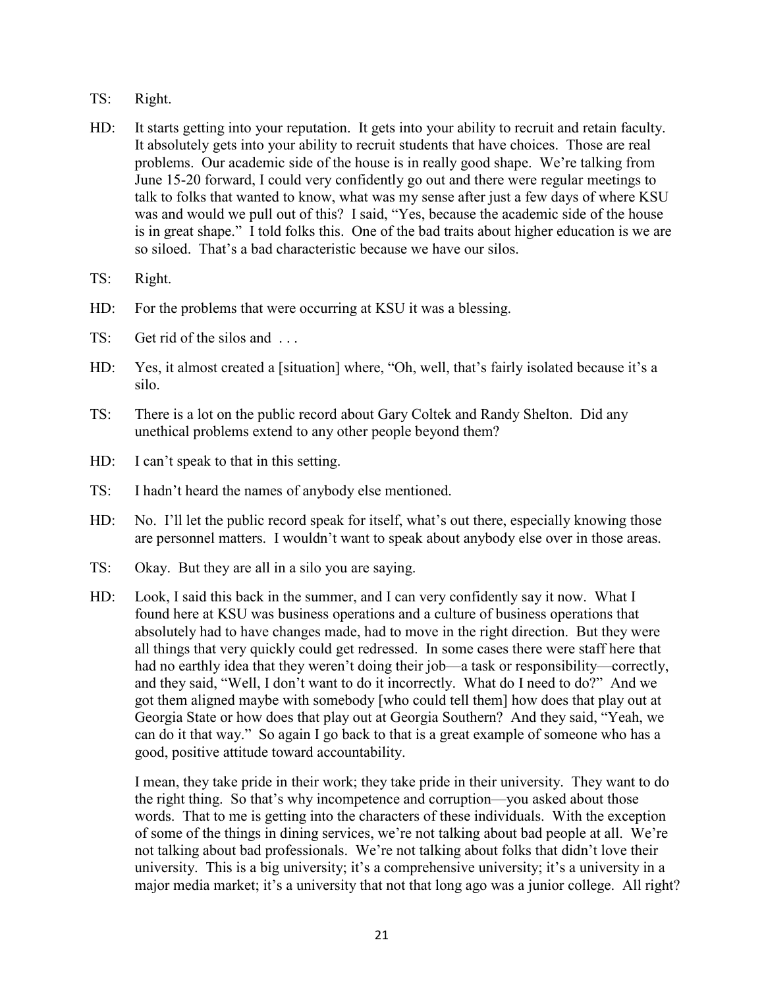- TS: Right.
- HD: It starts getting into your reputation. It gets into your ability to recruit and retain faculty. It absolutely gets into your ability to recruit students that have choices. Those are real problems. Our academic side of the house is in really good shape. We're talking from June 15-20 forward, I could very confidently go out and there were regular meetings to talk to folks that wanted to know, what was my sense after just a few days of where KSU was and would we pull out of this? I said, "Yes, because the academic side of the house is in great shape." I told folks this. One of the bad traits about higher education is we are so siloed. That's a bad characteristic because we have our silos.
- TS: Right.
- HD: For the problems that were occurring at KSU it was a blessing.
- TS: Get rid of the silos and ...
- HD: Yes, it almost created a [situation] where, "Oh, well, that's fairly isolated because it's a silo.
- TS: There is a lot on the public record about Gary Coltek and Randy Shelton. Did any unethical problems extend to any other people beyond them?
- HD: I can't speak to that in this setting.
- TS: I hadn't heard the names of anybody else mentioned.
- HD: No. I'll let the public record speak for itself, what's out there, especially knowing those are personnel matters. I wouldn't want to speak about anybody else over in those areas.
- TS: Okay. But they are all in a silo you are saying.
- HD: Look, I said this back in the summer, and I can very confidently say it now. What I found here at KSU was business operations and a culture of business operations that absolutely had to have changes made, had to move in the right direction. But they were all things that very quickly could get redressed. In some cases there were staff here that had no earthly idea that they weren't doing their job—a task or responsibility—correctly, and they said, "Well, I don't want to do it incorrectly. What do I need to do?" And we got them aligned maybe with somebody [who could tell them] how does that play out at Georgia State or how does that play out at Georgia Southern? And they said, "Yeah, we can do it that way." So again I go back to that is a great example of someone who has a good, positive attitude toward accountability.

I mean, they take pride in their work; they take pride in their university. They want to do the right thing. So that's why incompetence and corruption—you asked about those words. That to me is getting into the characters of these individuals. With the exception of some of the things in dining services, we're not talking about bad people at all. We're not talking about bad professionals. We're not talking about folks that didn't love their university. This is a big university; it's a comprehensive university; it's a university in a major media market; it's a university that not that long ago was a junior college. All right?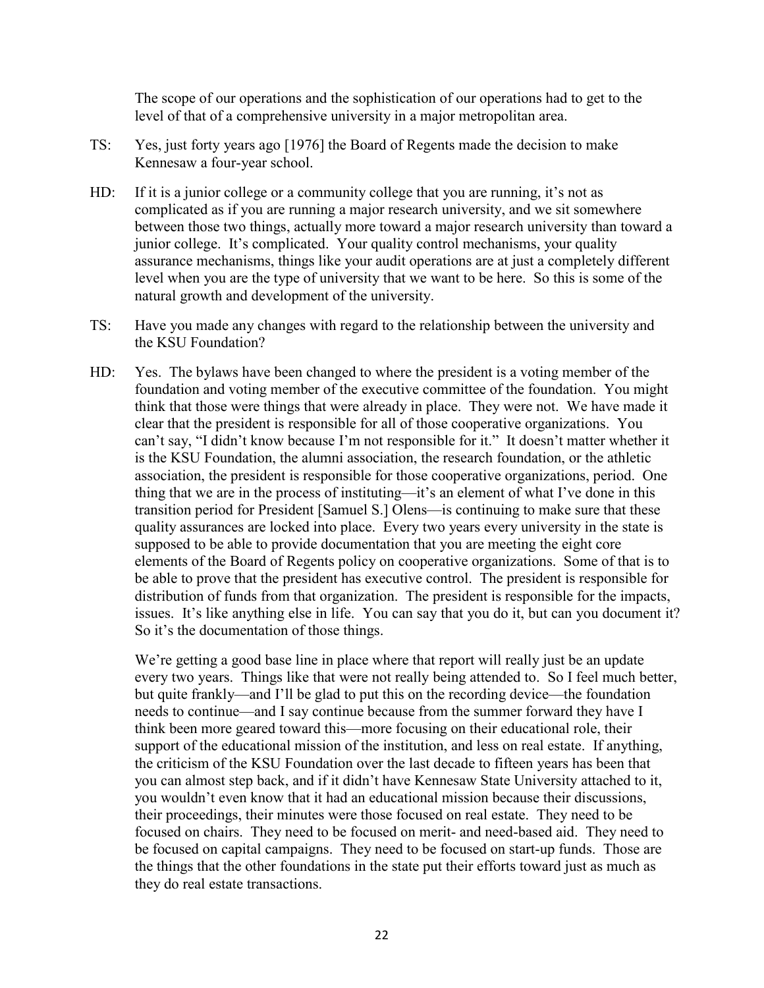The scope of our operations and the sophistication of our operations had to get to the level of that of a comprehensive university in a major metropolitan area.

- TS: Yes, just forty years ago [1976] the Board of Regents made the decision to make Kennesaw a four-year school.
- HD: If it is a junior college or a community college that you are running, it's not as complicated as if you are running a major research university, and we sit somewhere between those two things, actually more toward a major research university than toward a junior college. It's complicated. Your quality control mechanisms, your quality assurance mechanisms, things like your audit operations are at just a completely different level when you are the type of university that we want to be here. So this is some of the natural growth and development of the university.
- TS: Have you made any changes with regard to the relationship between the university and the KSU Foundation?
- HD: Yes. The bylaws have been changed to where the president is a voting member of the foundation and voting member of the executive committee of the foundation. You might think that those were things that were already in place. They were not. We have made it clear that the president is responsible for all of those cooperative organizations. You can't say, "I didn't know because I'm not responsible for it." It doesn't matter whether it is the KSU Foundation, the alumni association, the research foundation, or the athletic association, the president is responsible for those cooperative organizations, period. One thing that we are in the process of instituting—it's an element of what I've done in this transition period for President [Samuel S.] Olens—is continuing to make sure that these quality assurances are locked into place. Every two years every university in the state is supposed to be able to provide documentation that you are meeting the eight core elements of the Board of Regents policy on cooperative organizations. Some of that is to be able to prove that the president has executive control. The president is responsible for distribution of funds from that organization. The president is responsible for the impacts, issues. It's like anything else in life. You can say that you do it, but can you document it? So it's the documentation of those things.

We're getting a good base line in place where that report will really just be an update every two years. Things like that were not really being attended to. So I feel much better, but quite frankly—and I'll be glad to put this on the recording device—the foundation needs to continue—and I say continue because from the summer forward they have I think been more geared toward this—more focusing on their educational role, their support of the educational mission of the institution, and less on real estate. If anything, the criticism of the KSU Foundation over the last decade to fifteen years has been that you can almost step back, and if it didn't have Kennesaw State University attached to it, you wouldn't even know that it had an educational mission because their discussions, their proceedings, their minutes were those focused on real estate. They need to be focused on chairs. They need to be focused on merit- and need-based aid. They need to be focused on capital campaigns. They need to be focused on start-up funds. Those are the things that the other foundations in the state put their efforts toward just as much as they do real estate transactions.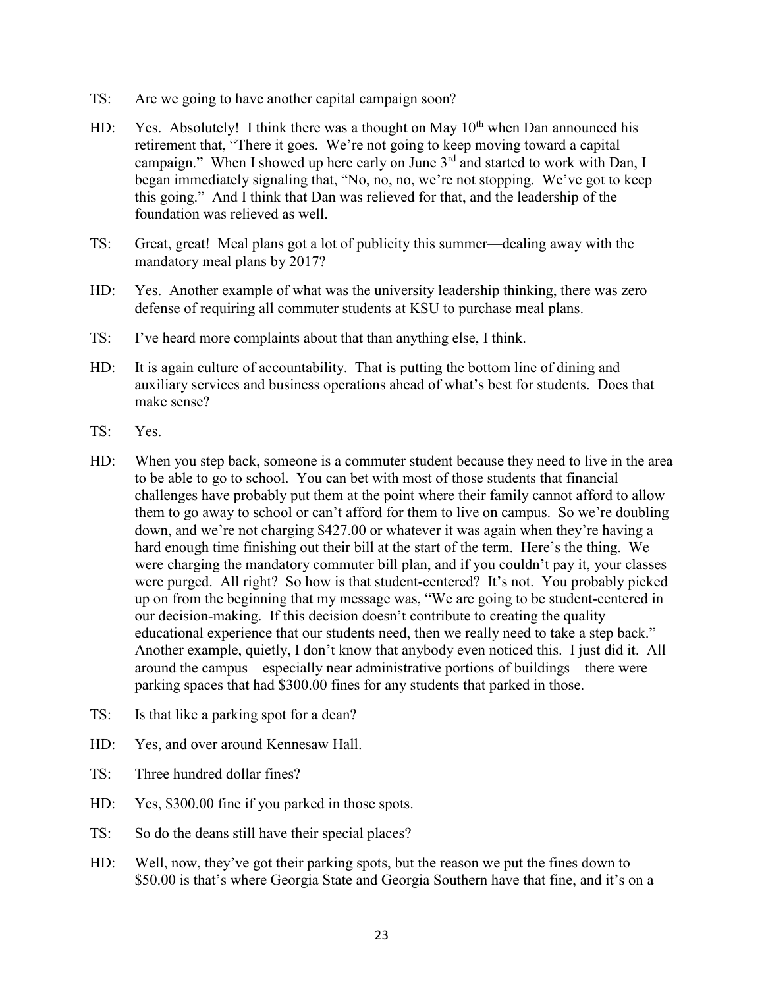- TS: Are we going to have another capital campaign soon?
- HD: Yes. Absolutely! I think there was a thought on May  $10<sup>th</sup>$  when Dan announced his retirement that, "There it goes. We're not going to keep moving toward a capital campaign." When I showed up here early on June  $3<sup>rd</sup>$  and started to work with Dan, I began immediately signaling that, "No, no, no, we're not stopping. We've got to keep this going." And I think that Dan was relieved for that, and the leadership of the foundation was relieved as well.
- TS: Great, great! Meal plans got a lot of publicity this summer—dealing away with the mandatory meal plans by 2017?
- HD: Yes. Another example of what was the university leadership thinking, there was zero defense of requiring all commuter students at KSU to purchase meal plans.
- TS: I've heard more complaints about that than anything else, I think.
- HD: It is again culture of accountability. That is putting the bottom line of dining and auxiliary services and business operations ahead of what's best for students. Does that make sense?
- TS: Yes.
- HD: When you step back, someone is a commuter student because they need to live in the area to be able to go to school. You can bet with most of those students that financial challenges have probably put them at the point where their family cannot afford to allow them to go away to school or can't afford for them to live on campus. So we're doubling down, and we're not charging \$427.00 or whatever it was again when they're having a hard enough time finishing out their bill at the start of the term. Here's the thing. We were charging the mandatory commuter bill plan, and if you couldn't pay it, your classes were purged. All right? So how is that student-centered? It's not. You probably picked up on from the beginning that my message was, "We are going to be student-centered in our decision-making. If this decision doesn't contribute to creating the quality educational experience that our students need, then we really need to take a step back." Another example, quietly, I don't know that anybody even noticed this. I just did it. All around the campus—especially near administrative portions of buildings—there were parking spaces that had \$300.00 fines for any students that parked in those.
- TS: Is that like a parking spot for a dean?
- HD: Yes, and over around Kennesaw Hall.
- TS: Three hundred dollar fines?
- HD: Yes, \$300.00 fine if you parked in those spots.
- TS: So do the deans still have their special places?
- HD: Well, now, they've got their parking spots, but the reason we put the fines down to \$50.00 is that's where Georgia State and Georgia Southern have that fine, and it's on a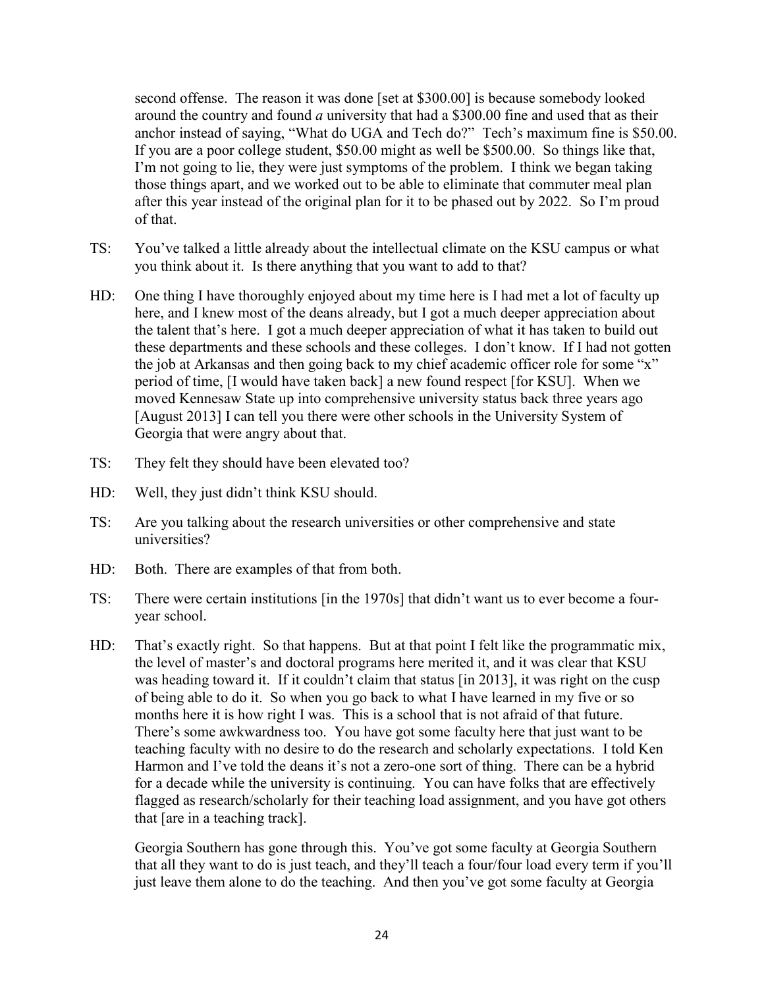second offense. The reason it was done [set at \$300.00] is because somebody looked around the country and found *a* university that had a \$300.00 fine and used that as their anchor instead of saying, "What do UGA and Tech do?" Tech's maximum fine is \$50.00. If you are a poor college student, \$50.00 might as well be \$500.00. So things like that, I'm not going to lie, they were just symptoms of the problem. I think we began taking those things apart, and we worked out to be able to eliminate that commuter meal plan after this year instead of the original plan for it to be phased out by 2022. So I'm proud of that.

- TS: You've talked a little already about the intellectual climate on the KSU campus or what you think about it. Is there anything that you want to add to that?
- HD: One thing I have thoroughly enjoyed about my time here is I had met a lot of faculty up here, and I knew most of the deans already, but I got a much deeper appreciation about the talent that's here. I got a much deeper appreciation of what it has taken to build out these departments and these schools and these colleges. I don't know. If I had not gotten the job at Arkansas and then going back to my chief academic officer role for some "x" period of time, [I would have taken back] a new found respect [for KSU]. When we moved Kennesaw State up into comprehensive university status back three years ago [August 2013] I can tell you there were other schools in the University System of Georgia that were angry about that.
- TS: They felt they should have been elevated too?
- HD: Well, they just didn't think KSU should.
- TS: Are you talking about the research universities or other comprehensive and state universities?
- HD: Both. There are examples of that from both.
- TS: There were certain institutions [in the 1970s] that didn't want us to ever become a fouryear school.
- HD: That's exactly right. So that happens. But at that point I felt like the programmatic mix, the level of master's and doctoral programs here merited it, and it was clear that KSU was heading toward it. If it couldn't claim that status [in 2013], it was right on the cusp of being able to do it. So when you go back to what I have learned in my five or so months here it is how right I was. This is a school that is not afraid of that future. There's some awkwardness too. You have got some faculty here that just want to be teaching faculty with no desire to do the research and scholarly expectations. I told Ken Harmon and I've told the deans it's not a zero-one sort of thing. There can be a hybrid for a decade while the university is continuing. You can have folks that are effectively flagged as research/scholarly for their teaching load assignment, and you have got others that [are in a teaching track].

Georgia Southern has gone through this. You've got some faculty at Georgia Southern that all they want to do is just teach, and they'll teach a four/four load every term if you'll just leave them alone to do the teaching. And then you've got some faculty at Georgia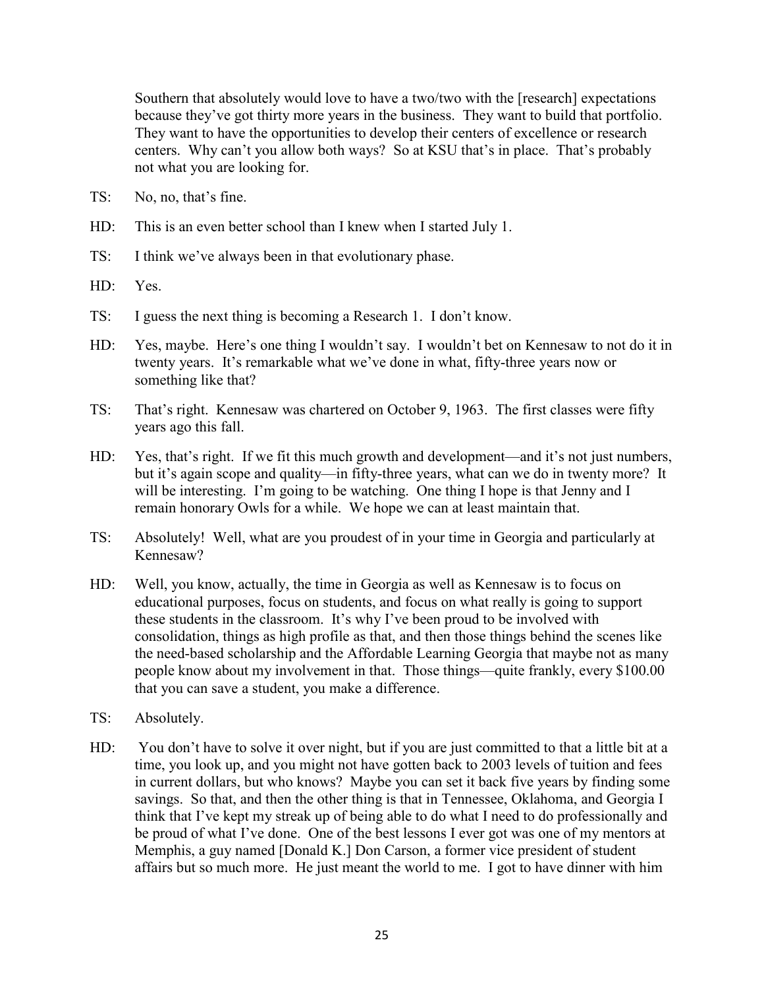Southern that absolutely would love to have a two/two with the [research] expectations because they've got thirty more years in the business. They want to build that portfolio. They want to have the opportunities to develop their centers of excellence or research centers. Why can't you allow both ways? So at KSU that's in place. That's probably not what you are looking for.

- TS: No, no, that's fine.
- HD: This is an even better school than I knew when I started July 1.
- TS: I think we've always been in that evolutionary phase.
- HD: Yes.
- TS: I guess the next thing is becoming a Research 1. I don't know.
- HD: Yes, maybe. Here's one thing I wouldn't say. I wouldn't bet on Kennesaw to not do it in twenty years. It's remarkable what we've done in what, fifty-three years now or something like that?
- TS: That's right. Kennesaw was chartered on October 9, 1963. The first classes were fifty years ago this fall.
- HD: Yes, that's right. If we fit this much growth and development—and it's not just numbers, but it's again scope and quality—in fifty-three years, what can we do in twenty more? It will be interesting. I'm going to be watching. One thing I hope is that Jenny and I remain honorary Owls for a while. We hope we can at least maintain that.
- TS: Absolutely! Well, what are you proudest of in your time in Georgia and particularly at Kennesaw?
- HD: Well, you know, actually, the time in Georgia as well as Kennesaw is to focus on educational purposes, focus on students, and focus on what really is going to support these students in the classroom. It's why I've been proud to be involved with consolidation, things as high profile as that, and then those things behind the scenes like the need-based scholarship and the Affordable Learning Georgia that maybe not as many people know about my involvement in that. Those things—quite frankly, every \$100.00 that you can save a student, you make a difference.
- TS: Absolutely.
- HD: You don't have to solve it over night, but if you are just committed to that a little bit at a time, you look up, and you might not have gotten back to 2003 levels of tuition and fees in current dollars, but who knows? Maybe you can set it back five years by finding some savings. So that, and then the other thing is that in Tennessee, Oklahoma, and Georgia I think that I've kept my streak up of being able to do what I need to do professionally and be proud of what I've done. One of the best lessons I ever got was one of my mentors at Memphis, a guy named [Donald K.] Don Carson, a former vice president of student affairs but so much more. He just meant the world to me. I got to have dinner with him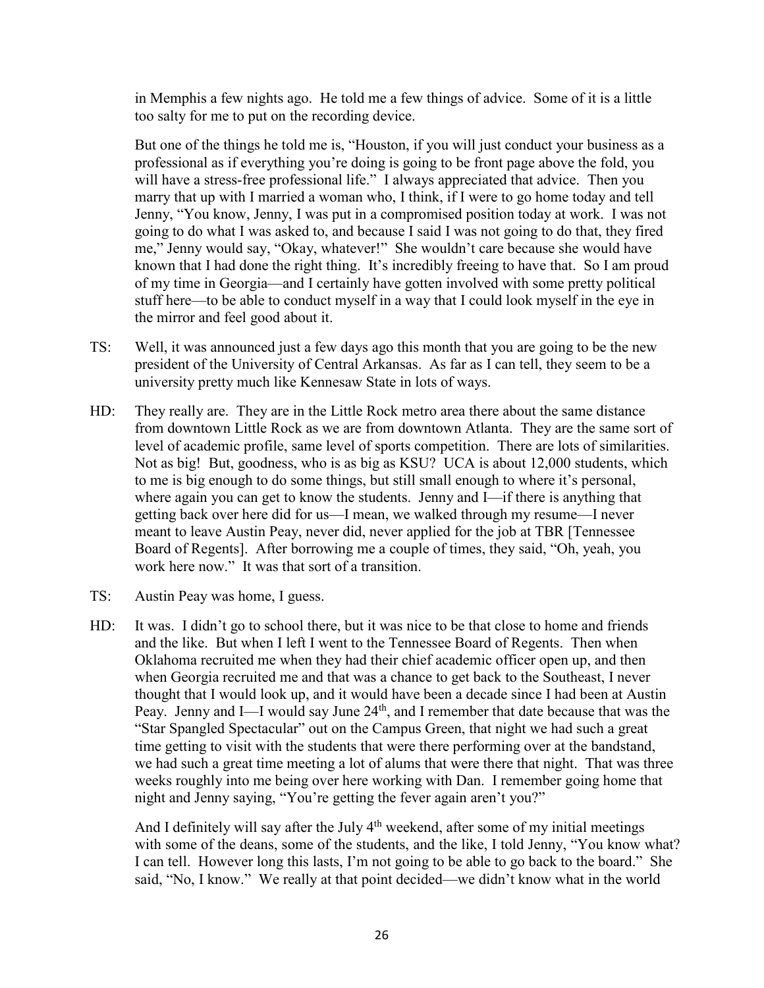in Memphis a few nights ago. He told me a few things of advice. Some of it is a little too salty for me to put on the recording device.

But one of the things he told me is, "Houston, if you will just conduct your business as a professional as if everything you're doing is going to be front page above the fold, you will have a stress-free professional life." I always appreciated that advice. Then you marry that up with I married a woman who, I think, if I were to go home today and tell Jenny, "You know, Jenny, I was put in a compromised position today at work. I was not going to do what I was asked to, and because I said I was not going to do that, they fired me," Jenny would say, "Okay, whatever!" She wouldn't care because she would have known that I had done the right thing. It's incredibly freeing to have that. So I am proud of my time in Georgia—and I certainly have gotten involved with some pretty political stuff here—to be able to conduct myself in a way that I could look myself in the eye in the mirror and feel good about it.

- TS: Well, it was announced just a few days ago this month that you are going to be the new president of the University of Central Arkansas. As far as I can tell, they seem to be a university pretty much like Kennesaw State in lots of ways.
- HD: They really are. They are in the Little Rock metro area there about the same distance from downtown Little Rock as we are from downtown Atlanta. They are the same sort of level of academic profile, same level of sports competition. There are lots of similarities. Not as big! But, goodness, who is as big as KSU? UCA is about 12,000 students, which to me is big enough to do some things, but still small enough to where it's personal, where again you can get to know the students. Jenny and I—if there is anything that getting back over here did for us—I mean, we walked through my resume—I never meant to leave Austin Peay, never did, never applied for the job at TBR [Tennessee Board of Regents]. After borrowing me a couple of times, they said, "Oh, yeah, you work here now." It was that sort of a transition.
- TS: Austin Peay was home, I guess.
- HD: It was. I didn't go to school there, but it was nice to be that close to home and friends and the like. But when I left I went to the Tennessee Board of Regents. Then when Oklahoma recruited me when they had their chief academic officer open up, and then when Georgia recruited me and that was a chance to get back to the Southeast, I never thought that I would look up, and it would have been a decade since I had been at Austin Peay. Jenny and I—I would say June 24<sup>th</sup>, and I remember that date because that was the "Star Spangled Spectacular" out on the Campus Green, that night we had such a great time getting to visit with the students that were there performing over at the bandstand, we had such a great time meeting a lot of alums that were there that night. That was three weeks roughly into me being over here working with Dan. I remember going home that night and Jenny saying, "You're getting the fever again aren't you?"

And I definitely will say after the July  $4<sup>th</sup>$  weekend, after some of my initial meetings with some of the deans, some of the students, and the like, I told Jenny, "You know what? I can tell. However long this lasts, I'm not going to be able to go back to the board." She said, "No, I know." We really at that point decided—we didn't know what in the world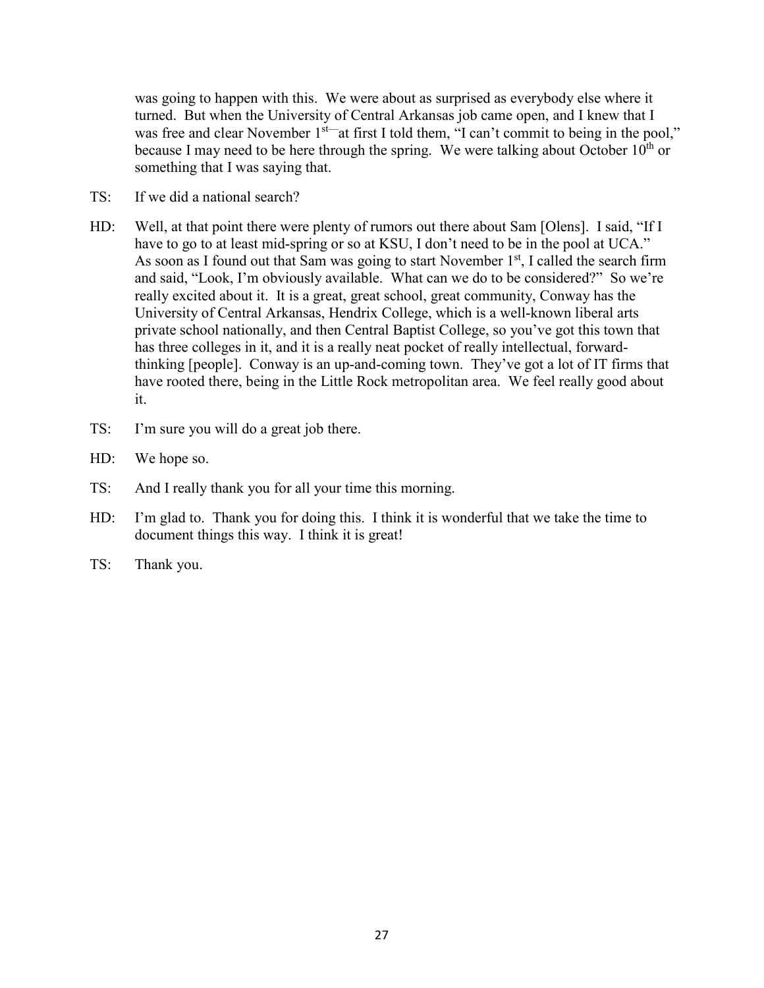was going to happen with this. We were about as surprised as everybody else where it turned. But when the University of Central Arkansas job came open, and I knew that I was free and clear November 1<sup>st—</sup>at first I told them, "I can't commit to being in the pool," because I may need to be here through the spring. We were talking about October  $10<sup>th</sup>$  or something that I was saying that.

- TS: If we did a national search?
- HD: Well, at that point there were plenty of rumors out there about Sam [Olens]. I said, "If I have to go to at least mid-spring or so at KSU, I don't need to be in the pool at UCA." As soon as I found out that Sam was going to start November  $1<sup>st</sup>$ , I called the search firm and said, "Look, I'm obviously available. What can we do to be considered?" So we're really excited about it. It is a great, great school, great community, Conway has the University of Central Arkansas, Hendrix College, which is a well-known liberal arts private school nationally, and then Central Baptist College, so you've got this town that has three colleges in it, and it is a really neat pocket of really intellectual, forwardthinking [people]. Conway is an up-and-coming town. They've got a lot of IT firms that have rooted there, being in the Little Rock metropolitan area. We feel really good about it.
- TS: I'm sure you will do a great job there.
- HD: We hope so.
- TS: And I really thank you for all your time this morning.
- HD: I'm glad to. Thank you for doing this. I think it is wonderful that we take the time to document things this way. I think it is great!
- TS: Thank you.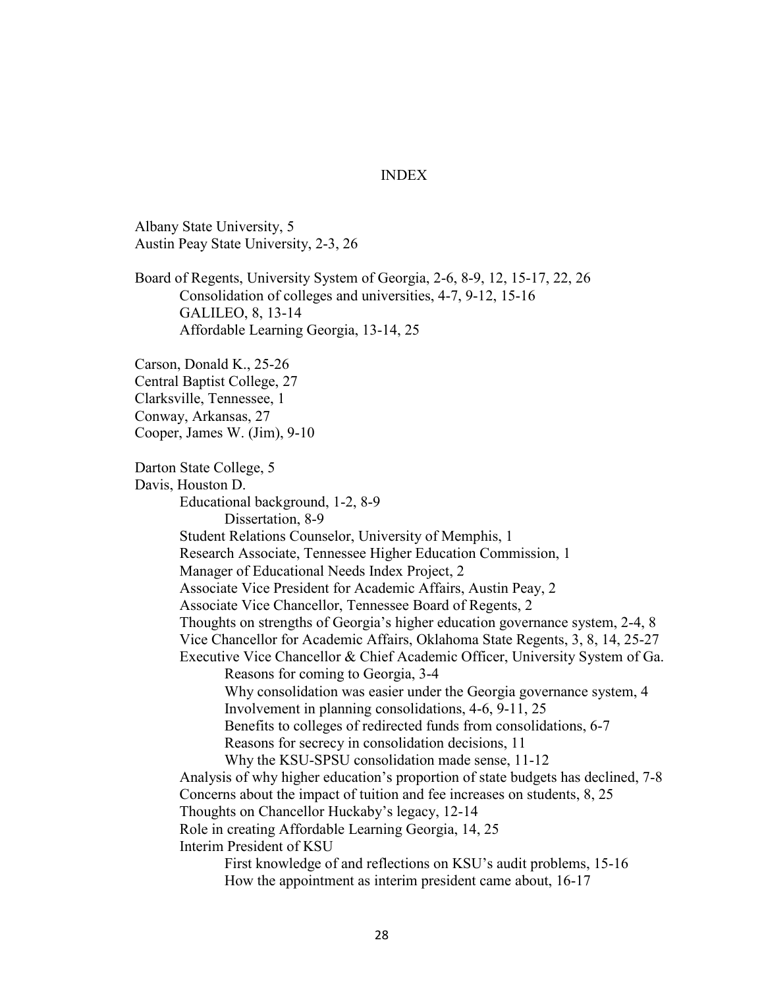## INDEX

Albany State University, 5 Austin Peay State University, 2-3, 26

Board of Regents, University System of Georgia, 2-6, 8-9, 12, 15-17, 22, 26 Consolidation of colleges and universities, 4-7, 9-12, 15-16 GALILEO, 8, 13-14 Affordable Learning Georgia, 13-14, 25

Carson, Donald K., 25-26 Central Baptist College, 27 Clarksville, Tennessee, 1 Conway, Arkansas, 27 Cooper, James W. (Jim), 9-10

Darton State College, 5 Davis, Houston D. Educational background, 1-2, 8-9 Dissertation, 8-9 Student Relations Counselor, University of Memphis, 1 Research Associate, Tennessee Higher Education Commission, 1 Manager of Educational Needs Index Project, 2 Associate Vice President for Academic Affairs, Austin Peay, 2 Associate Vice Chancellor, Tennessee Board of Regents, 2 Thoughts on strengths of Georgia's higher education governance system, 2-4, 8 Vice Chancellor for Academic Affairs, Oklahoma State Regents, 3, 8, 14, 25-27 Executive Vice Chancellor & Chief Academic Officer, University System of Ga. Reasons for coming to Georgia, 3-4 Why consolidation was easier under the Georgia governance system, 4 Involvement in planning consolidations, 4-6, 9-11, 25 Benefits to colleges of redirected funds from consolidations, 6-7 Reasons for secrecy in consolidation decisions, 11 Why the KSU-SPSU consolidation made sense, 11-12 Analysis of why higher education's proportion of state budgets has declined, 7-8 Concerns about the impact of tuition and fee increases on students, 8, 25 Thoughts on Chancellor Huckaby's legacy, 12-14 Role in creating Affordable Learning Georgia, 14, 25 Interim President of KSU First knowledge of and reflections on KSU's audit problems, 15-16 How the appointment as interim president came about, 16-17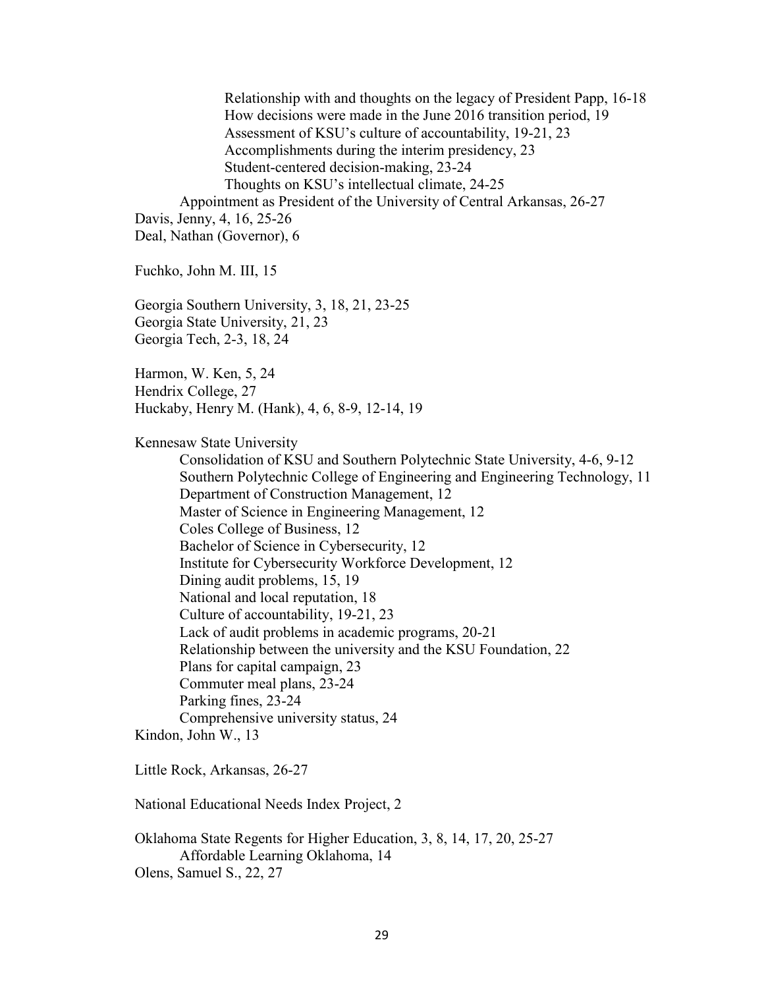Relationship with and thoughts on the legacy of President Papp, 16-18 How decisions were made in the June 2016 transition period, 19 Assessment of KSU's culture of accountability, 19-21, 23 Accomplishments during the interim presidency, 23 Student-centered decision-making, 23-24 Thoughts on KSU's intellectual climate, 24-25 Appointment as President of the University of Central Arkansas, 26-27 Davis, Jenny, 4, 16, 25-26 Deal, Nathan (Governor), 6 Fuchko, John M. III, 15 Georgia Southern University, 3, 18, 21, 23-25 Georgia State University, 21, 23 Georgia Tech, 2-3, 18, 24 Harmon, W. Ken, 5, 24 Hendrix College, 27 Huckaby, Henry M. (Hank), 4, 6, 8-9, 12-14, 19 Kennesaw State University Consolidation of KSU and Southern Polytechnic State University, 4-6, 9-12 Southern Polytechnic College of Engineering and Engineering Technology, 11 Department of Construction Management, 12 Master of Science in Engineering Management, 12 Coles College of Business, 12 Bachelor of Science in Cybersecurity, 12 Institute for Cybersecurity Workforce Development, 12 Dining audit problems, 15, 19 National and local reputation, 18 Culture of accountability, 19-21, 23 Lack of audit problems in academic programs, 20-21 Relationship between the university and the KSU Foundation, 22 Plans for capital campaign, 23 Commuter meal plans, 23-24 Parking fines, 23-24 Comprehensive university status, 24 Kindon, John W., 13 Little Rock, Arkansas, 26-27 National Educational Needs Index Project, 2 Oklahoma State Regents for Higher Education, 3, 8, 14, 17, 20, 25-27 Affordable Learning Oklahoma, 14 Olens, Samuel S., 22, 27